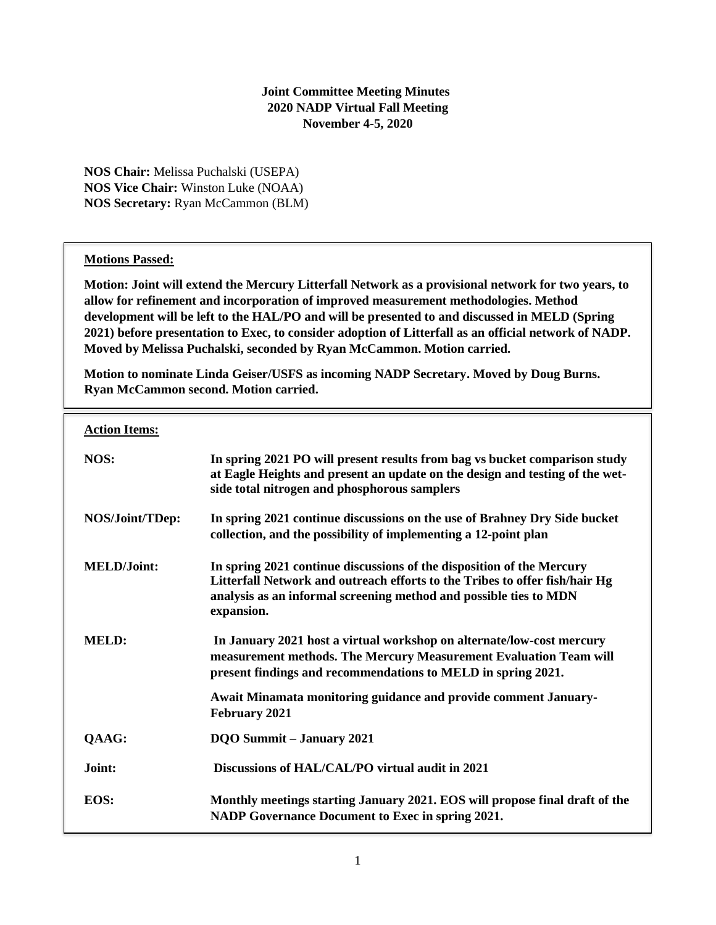### **Joint Committee Meeting Minutes 2020 NADP Virtual Fall Meeting November 4-5, 2020**

**NOS Chair:** Melissa Puchalski (USEPA) **NOS Vice Chair:** Winston Luke (NOAA) **NOS Secretary:** Ryan McCammon (BLM)

#### **Motions Passed:**

**Motion: Joint will extend the Mercury Litterfall Network as a provisional network for two years, to allow for refinement and incorporation of improved measurement methodologies. Method development will be left to the HAL/PO and will be presented to and discussed in MELD (Spring 2021) before presentation to Exec, to consider adoption of Litterfall as an official network of NADP. Moved by Melissa Puchalski, seconded by Ryan McCammon. Motion carried.**

**Motion to nominate Linda Geiser/USFS as incoming NADP Secretary. Moved by Doug Burns. Ryan McCammon second. Motion carried.**

| <b>Action Items:</b> |                                                                                                                                                                                                                                         |
|----------------------|-----------------------------------------------------------------------------------------------------------------------------------------------------------------------------------------------------------------------------------------|
| NOS:                 | In spring 2021 PO will present results from bag vs bucket comparison study<br>at Eagle Heights and present an update on the design and testing of the wet-<br>side total nitrogen and phosphorous samplers                              |
| NOS/Joint/TDep:      | In spring 2021 continue discussions on the use of Brahney Dry Side bucket<br>collection, and the possibility of implementing a 12-point plan                                                                                            |
| <b>MELD/Joint:</b>   | In spring 2021 continue discussions of the disposition of the Mercury<br>Litterfall Network and outreach efforts to the Tribes to offer fish/hair Hg<br>analysis as an informal screening method and possible ties to MDN<br>expansion. |
| <b>MELD:</b>         | In January 2021 host a virtual workshop on alternate/low-cost mercury<br>measurement methods. The Mercury Measurement Evaluation Team will<br>present findings and recommendations to MELD in spring 2021.                              |
|                      | Await Minamata monitoring guidance and provide comment January-<br>February 2021                                                                                                                                                        |
| QAAG:                | <b>DQO Summit - January 2021</b>                                                                                                                                                                                                        |
| Joint:               | Discussions of HAL/CAL/PO virtual audit in 2021                                                                                                                                                                                         |
| EOS:                 | Monthly meetings starting January 2021. EOS will propose final draft of the<br>NADP Governance Document to Exec in spring 2021.                                                                                                         |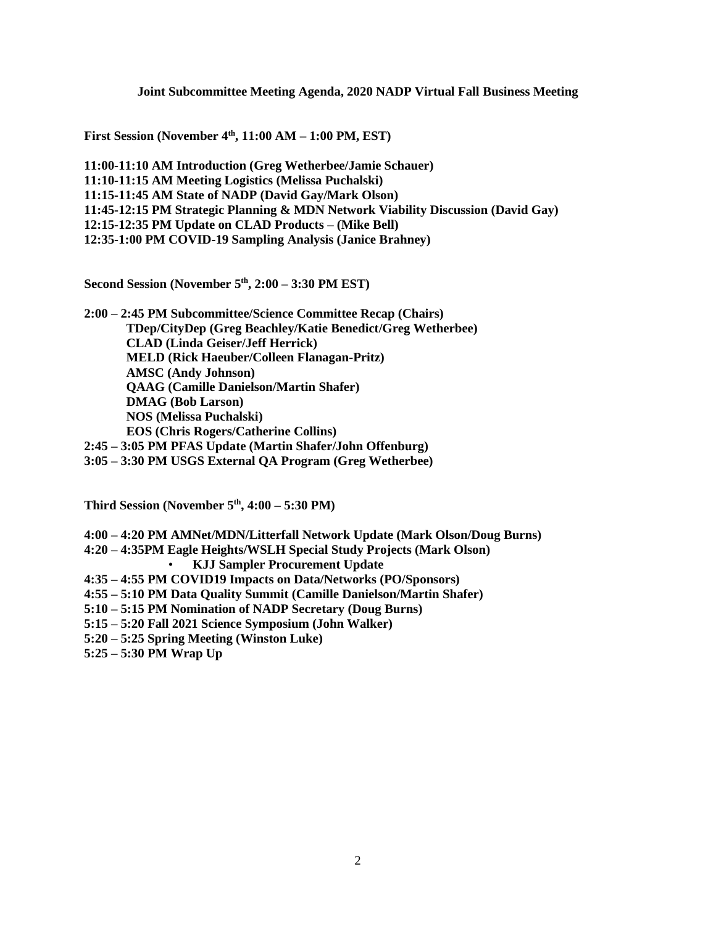**Joint Subcommittee Meeting Agenda, 2020 NADP Virtual Fall Business Meeting**

**First Session (November 4th, 11:00 AM – 1:00 PM, EST)**

**11:00-11:10 AM Introduction (Greg Wetherbee/Jamie Schauer) 11:10-11:15 AM Meeting Logistics (Melissa Puchalski) 11:15-11:45 AM State of NADP (David Gay/Mark Olson) 11:45-12:15 PM Strategic Planning & MDN Network Viability Discussion (David Gay) 12:15-12:35 PM Update on CLAD Products – (Mike Bell) 12:35-1:00 PM COVID-19 Sampling Analysis (Janice Brahney)**

**Second Session (November 5th, 2:00 – 3:30 PM EST)**

**2:00 – 2:45 PM Subcommittee/Science Committee Recap (Chairs) TDep/CityDep (Greg Beachley/Katie Benedict/Greg Wetherbee) CLAD (Linda Geiser/Jeff Herrick) MELD (Rick Haeuber/Colleen Flanagan-Pritz) AMSC (Andy Johnson) QAAG (Camille Danielson/Martin Shafer) DMAG (Bob Larson) NOS (Melissa Puchalski) EOS (Chris Rogers/Catherine Collins)**

**2:45 – 3:05 PM PFAS Update (Martin Shafer/John Offenburg)**

**3:05 – 3:30 PM USGS External QA Program (Greg Wetherbee)** 

**Third Session (November 5th, 4:00 – 5:30 PM)**

- **4:00 – 4:20 PM AMNet/MDN/Litterfall Network Update (Mark Olson/Doug Burns)**
- **4:20 – 4:35PM Eagle Heights/WSLH Special Study Projects (Mark Olson)**
	- **KJJ Sampler Procurement Update**
- **4:35 – 4:55 PM COVID19 Impacts on Data/Networks (PO/Sponsors)**
- **4:55 – 5:10 PM Data Quality Summit (Camille Danielson/Martin Shafer)**
- **5:10 – 5:15 PM Nomination of NADP Secretary (Doug Burns)**
- **5:15 – 5:20 Fall 2021 Science Symposium (John Walker)**
- **5:20 – 5:25 Spring Meeting (Winston Luke)**
- **5:25 – 5:30 PM Wrap Up**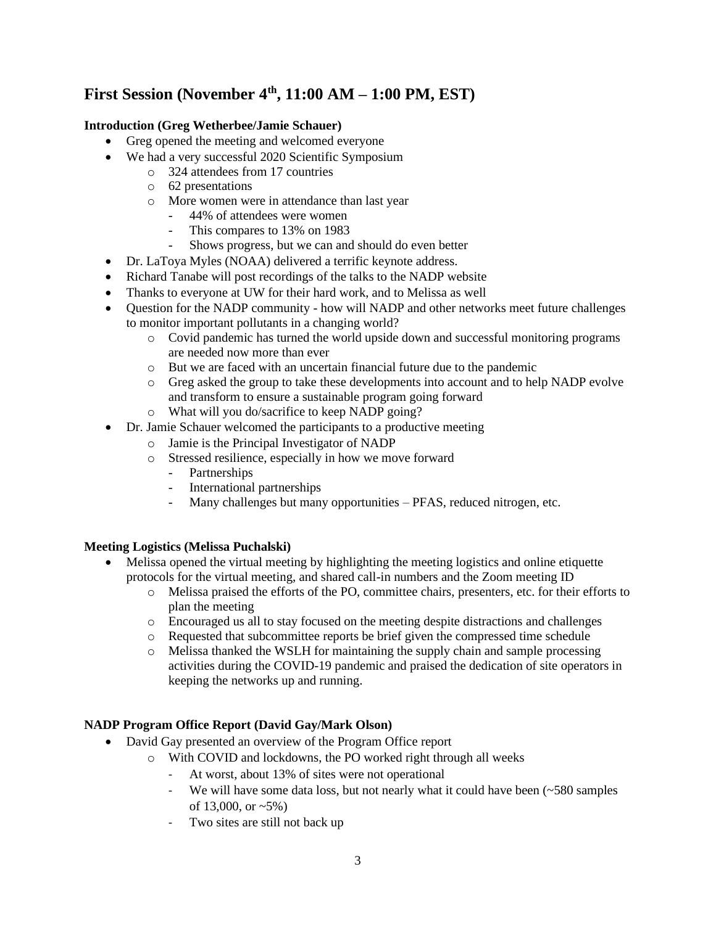# **First Session (November 4th, 11:00 AM – 1:00 PM, EST)**

## **Introduction (Greg Wetherbee/Jamie Schauer)**

- Greg opened the meeting and welcomed everyone
- We had a very successful 2020 Scientific Symposium
	- o 324 attendees from 17 countries
	- o 62 presentations
	- o More women were in attendance than last year
		- 44% of attendees were women
		- This compares to 13% on 1983
		- Shows progress, but we can and should do even better
- Dr. LaToya Myles (NOAA) delivered a terrific keynote address.
- Richard Tanabe will post recordings of the talks to the NADP website
- Thanks to everyone at UW for their hard work, and to Melissa as well
- Question for the NADP community how will NADP and other networks meet future challenges to monitor important pollutants in a changing world?
	- o Covid pandemic has turned the world upside down and successful monitoring programs are needed now more than ever
	- o But we are faced with an uncertain financial future due to the pandemic
	- o Greg asked the group to take these developments into account and to help NADP evolve and transform to ensure a sustainable program going forward
	- o What will you do/sacrifice to keep NADP going?
- Dr. Jamie Schauer welcomed the participants to a productive meeting
	- o Jamie is the Principal Investigator of NADP
	- o Stressed resilience, especially in how we move forward
		- Partnerships
		- International partnerships
		- Many challenges but many opportunities PFAS, reduced nitrogen, etc.

## **Meeting Logistics (Melissa Puchalski)**

- Melissa opened the virtual meeting by highlighting the meeting logistics and online etiquette protocols for the virtual meeting, and shared call-in numbers and the Zoom meeting ID
	- o Melissa praised the efforts of the PO, committee chairs, presenters, etc. for their efforts to plan the meeting
	- o Encouraged us all to stay focused on the meeting despite distractions and challenges
	- o Requested that subcommittee reports be brief given the compressed time schedule
	- o Melissa thanked the WSLH for maintaining the supply chain and sample processing activities during the COVID-19 pandemic and praised the dedication of site operators in keeping the networks up and running.

## **NADP Program Office Report (David Gay/Mark Olson)**

- David Gay presented an overview of the Program Office report
	- o With COVID and lockdowns, the PO worked right through all weeks
		- At worst, about 13% of sites were not operational
		- We will have some data loss, but not nearly what it could have been  $(-580 \text{ samples})$ of 13,000, or  $\sim 5\%$ )
		- Two sites are still not back up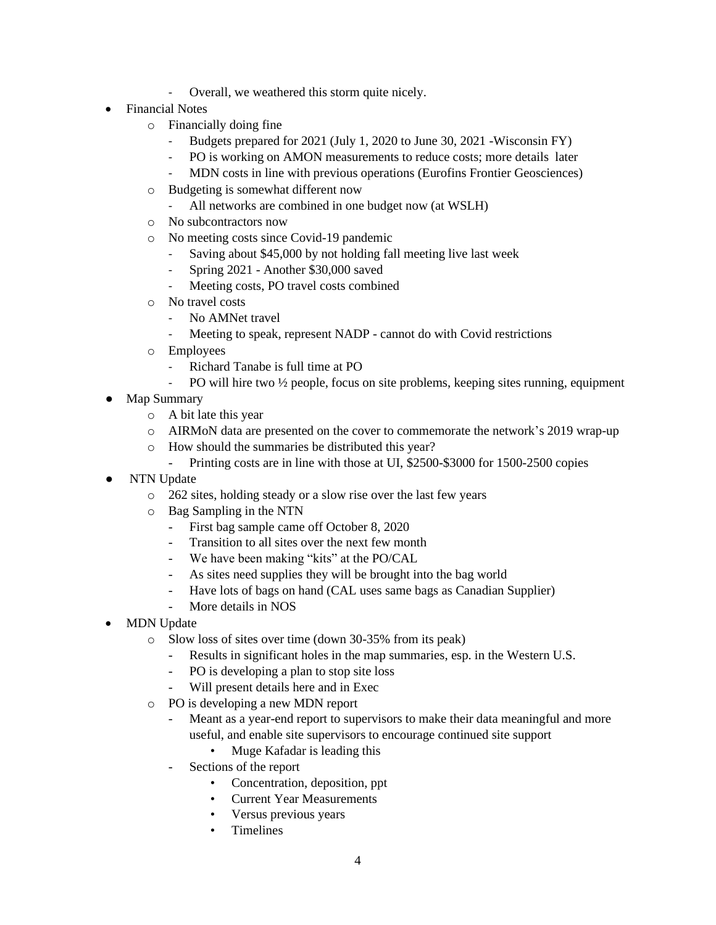- Overall, we weathered this storm quite nicely.
- Financial Notes
	- o Financially doing fine
		- Budgets prepared for 2021 (July 1, 2020 to June 30, 2021 -Wisconsin FY)
		- PO is working on AMON measurements to reduce costs; more details later
		- MDN costs in line with previous operations (Eurofins Frontier Geosciences)
	- o Budgeting is somewhat different now
		- All networks are combined in one budget now (at WSLH)
	- o No subcontractors now
	- o No meeting costs since Covid-19 pandemic
		- Saving about \$45,000 by not holding fall meeting live last week
		- Spring 2021 Another \$30,000 saved
		- Meeting costs, PO travel costs combined
	- o No travel costs
		- No AMNet travel
		- Meeting to speak, represent NADP cannot do with Covid restrictions
	- o Employees
		- Richard Tanabe is full time at PO
		- PO will hire two  $\frac{1}{2}$  people, focus on site problems, keeping sites running, equipment
- Map Summary
	- o A bit late this year
	- o AIRMoN data are presented on the cover to commemorate the network's 2019 wrap-up
	- o How should the summaries be distributed this year?
		- Printing costs are in line with those at UI, \$2500-\$3000 for 1500-2500 copies
- **NTN** Update
	- o 262 sites, holding steady or a slow rise over the last few years
	- o Bag Sampling in the NTN
		- First bag sample came off October 8, 2020
		- Transition to all sites over the next few month
		- We have been making "kits" at the PO/CAL
		- As sites need supplies they will be brought into the bag world
		- Have lots of bags on hand (CAL uses same bags as Canadian Supplier)
		- More details in NOS
- MDN Update
	- o Slow loss of sites over time (down 30-35% from its peak)
		- Results in significant holes in the map summaries, esp. in the Western U.S.
		- PO is developing a plan to stop site loss
		- Will present details here and in Exec
	- o PO is developing a new MDN report
		- Meant as a year-end report to supervisors to make their data meaningful and more useful, and enable site supervisors to encourage continued site support
			- Muge Kafadar is leading this
		- Sections of the report
			- Concentration, deposition, ppt
			- Current Year Measurements
			- Versus previous years
			- Timelines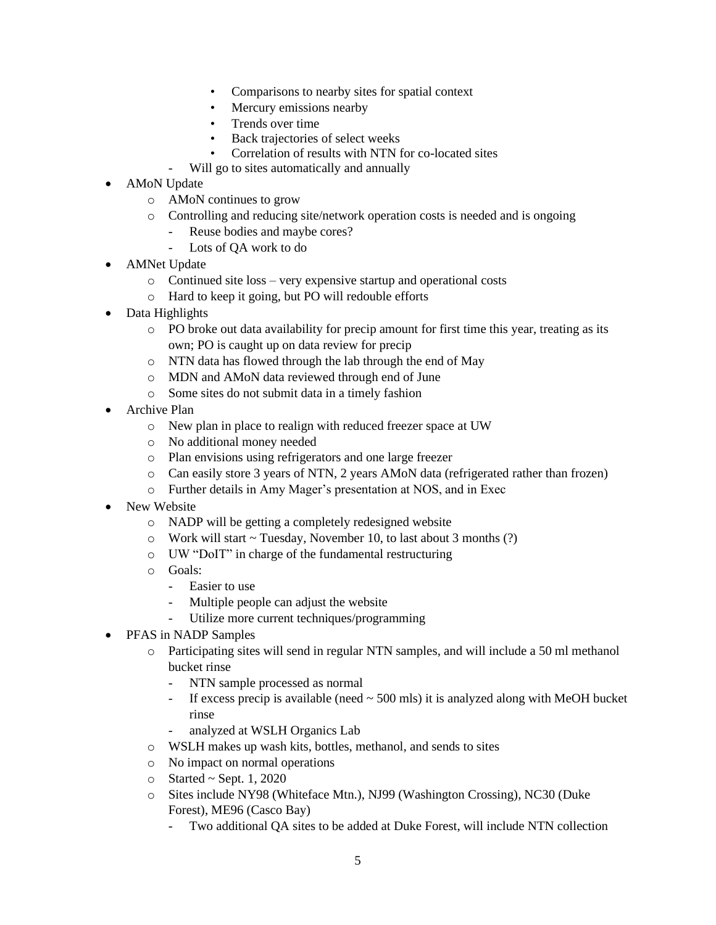- Comparisons to nearby sites for spatial context
- Mercury emissions nearby
- Trends over time
- Back trajectories of select weeks
- Correlation of results with NTN for co-located sites
- Will go to sites automatically and annually
- AMoN Update
	- o AMoN continues to grow
	- o Controlling and reducing site/network operation costs is needed and is ongoing
		- Reuse bodies and maybe cores?
		- Lots of QA work to do
- AMNet Update
	- o Continued site loss very expensive startup and operational costs
	- o Hard to keep it going, but PO will redouble efforts
- Data Highlights
	- o PO broke out data availability for precip amount for first time this year, treating as its own; PO is caught up on data review for precip
	- o NTN data has flowed through the lab through the end of May
	- o MDN and AMoN data reviewed through end of June
	- o Some sites do not submit data in a timely fashion
- Archive Plan
	- o New plan in place to realign with reduced freezer space at UW
	- o No additional money needed
	- o Plan envisions using refrigerators and one large freezer
	- o Can easily store 3 years of NTN, 2 years AMoN data (refrigerated rather than frozen)
	- o Further details in Amy Mager's presentation at NOS, and in Exec
- New Website
	- o NADP will be getting a completely redesigned website
	- o Work will start ~ Tuesday, November 10, to last about 3 months (?)
	- o UW "DoIT" in charge of the fundamental restructuring
	- o Goals:
		- Easier to use
		- Multiple people can adjust the website
		- Utilize more current techniques/programming
- PFAS in NADP Samples
	- o Participating sites will send in regular NTN samples, and will include a 50 ml methanol bucket rinse
		- NTN sample processed as normal
		- If excess precip is available (need  $\sim$  500 mls) it is analyzed along with MeOH bucket rinse
		- analyzed at WSLH Organics Lab
	- o WSLH makes up wash kits, bottles, methanol, and sends to sites
	- o No impact on normal operations
	- $\circ$  Started ~ Sept. 1, 2020
	- o Sites include NY98 (Whiteface Mtn.), NJ99 (Washington Crossing), NC30 (Duke Forest), ME96 (Casco Bay)
		- Two additional QA sites to be added at Duke Forest, will include NTN collection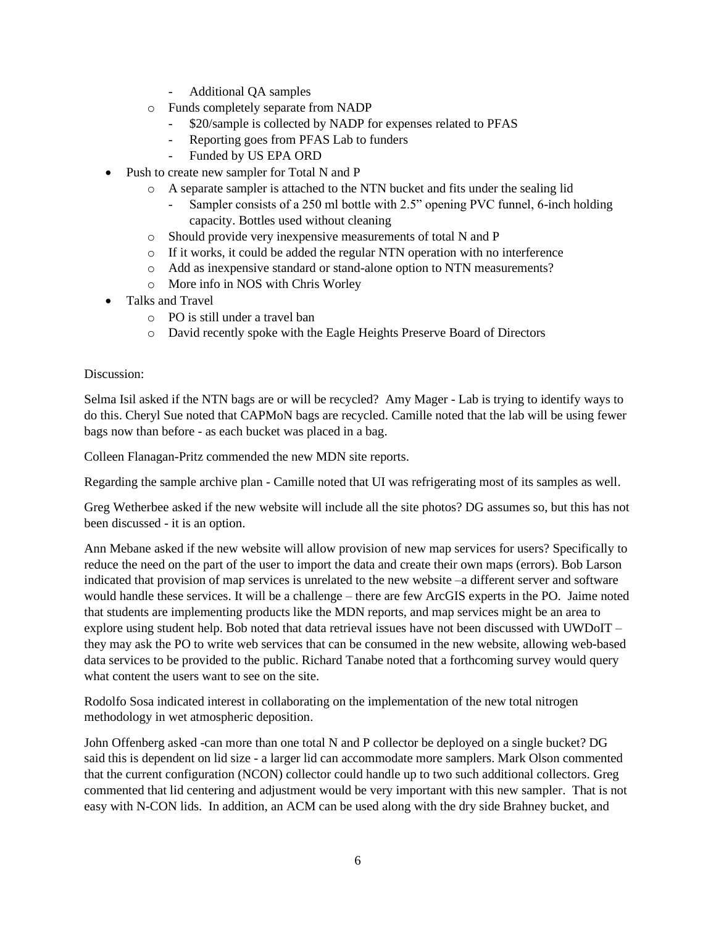- Additional QA samples
- o Funds completely separate from NADP
	- \$20/sample is collected by NADP for expenses related to PFAS
	- Reporting goes from PFAS Lab to funders
	- Funded by US EPA ORD
- Push to create new sampler for Total N and P
	- o A separate sampler is attached to the NTN bucket and fits under the sealing lid
		- Sampler consists of a 250 ml bottle with 2.5" opening PVC funnel, 6-inch holding capacity. Bottles used without cleaning
		- o Should provide very inexpensive measurements of total N and P
		- o If it works, it could be added the regular NTN operation with no interference
		- o Add as inexpensive standard or stand-alone option to NTN measurements?
		- o More info in NOS with Chris Worley
- Talks and Travel
	- o PO is still under a travel ban
	- o David recently spoke with the Eagle Heights Preserve Board of Directors

Selma Isil asked if the NTN bags are or will be recycled? Amy Mager - Lab is trying to identify ways to do this. Cheryl Sue noted that CAPMoN bags are recycled. Camille noted that the lab will be using fewer bags now than before - as each bucket was placed in a bag.

Colleen Flanagan-Pritz commended the new MDN site reports.

Regarding the sample archive plan - Camille noted that UI was refrigerating most of its samples as well.

Greg Wetherbee asked if the new website will include all the site photos? DG assumes so, but this has not been discussed - it is an option.

Ann Mebane asked if the new website will allow provision of new map services for users? Specifically to reduce the need on the part of the user to import the data and create their own maps (errors). Bob Larson indicated that provision of map services is unrelated to the new website –a different server and software would handle these services. It will be a challenge – there are few ArcGIS experts in the PO. Jaime noted that students are implementing products like the MDN reports, and map services might be an area to explore using student help. Bob noted that data retrieval issues have not been discussed with UWDoIT – they may ask the PO to write web services that can be consumed in the new website, allowing web-based data services to be provided to the public. Richard Tanabe noted that a forthcoming survey would query what content the users want to see on the site.

Rodolfo Sosa indicated interest in collaborating on the implementation of the new total nitrogen methodology in wet atmospheric deposition.

John Offenberg asked -can more than one total N and P collector be deployed on a single bucket? DG said this is dependent on lid size - a larger lid can accommodate more samplers. Mark Olson commented that the current configuration (NCON) collector could handle up to two such additional collectors. Greg commented that lid centering and adjustment would be very important with this new sampler. That is not easy with N-CON lids. In addition, an ACM can be used along with the dry side Brahney bucket, and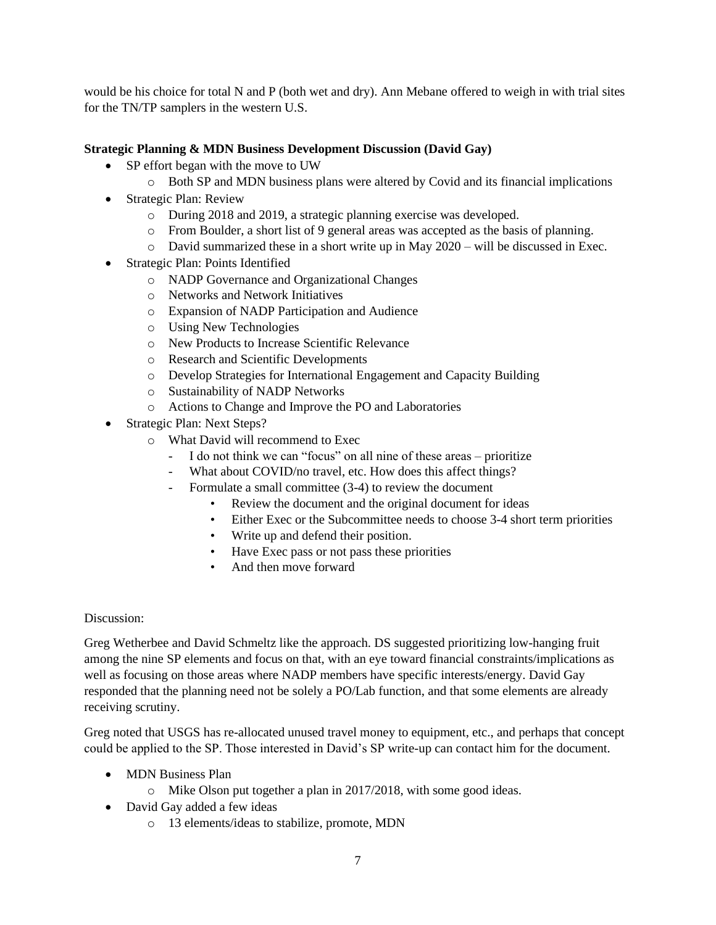would be his choice for total N and P (both wet and dry). Ann Mebane offered to weigh in with trial sites for the TN/TP samplers in the western U.S.

## **Strategic Planning & MDN Business Development Discussion (David Gay)**

- SP effort began with the move to UW
	- o Both SP and MDN business plans were altered by Covid and its financial implications
- Strategic Plan: Review
	- o During 2018 and 2019, a strategic planning exercise was developed.
	- o From Boulder, a short list of 9 general areas was accepted as the basis of planning.
	- $\circ$  David summarized these in a short write up in May 2020 will be discussed in Exec.
- Strategic Plan: Points Identified
	- o NADP Governance and Organizational Changes
	- o Networks and Network Initiatives
	- o Expansion of NADP Participation and Audience
	- o Using New Technologies
	- o New Products to Increase Scientific Relevance
	- o Research and Scientific Developments
	- o Develop Strategies for International Engagement and Capacity Building
	- o Sustainability of NADP Networks
	- o Actions to Change and Improve the PO and Laboratories
- Strategic Plan: Next Steps?
	- o What David will recommend to Exec
		- I do not think we can "focus" on all nine of these areas prioritize
		- What about COVID/no travel, etc. How does this affect things?
		- Formulate a small committee (3-4) to review the document
			- Review the document and the original document for ideas
			- Either Exec or the Subcommittee needs to choose 3-4 short term priorities
			- Write up and defend their position.
			- Have Exec pass or not pass these priorities
			- And then move forward

#### Discussion:

Greg Wetherbee and David Schmeltz like the approach. DS suggested prioritizing low-hanging fruit among the nine SP elements and focus on that, with an eye toward financial constraints/implications as well as focusing on those areas where NADP members have specific interests/energy. David Gay responded that the planning need not be solely a PO/Lab function, and that some elements are already receiving scrutiny.

Greg noted that USGS has re-allocated unused travel money to equipment, etc., and perhaps that concept could be applied to the SP. Those interested in David's SP write-up can contact him for the document.

- MDN Business Plan
	- o Mike Olson put together a plan in 2017/2018, with some good ideas.
- David Gay added a few ideas
	- o 13 elements/ideas to stabilize, promote, MDN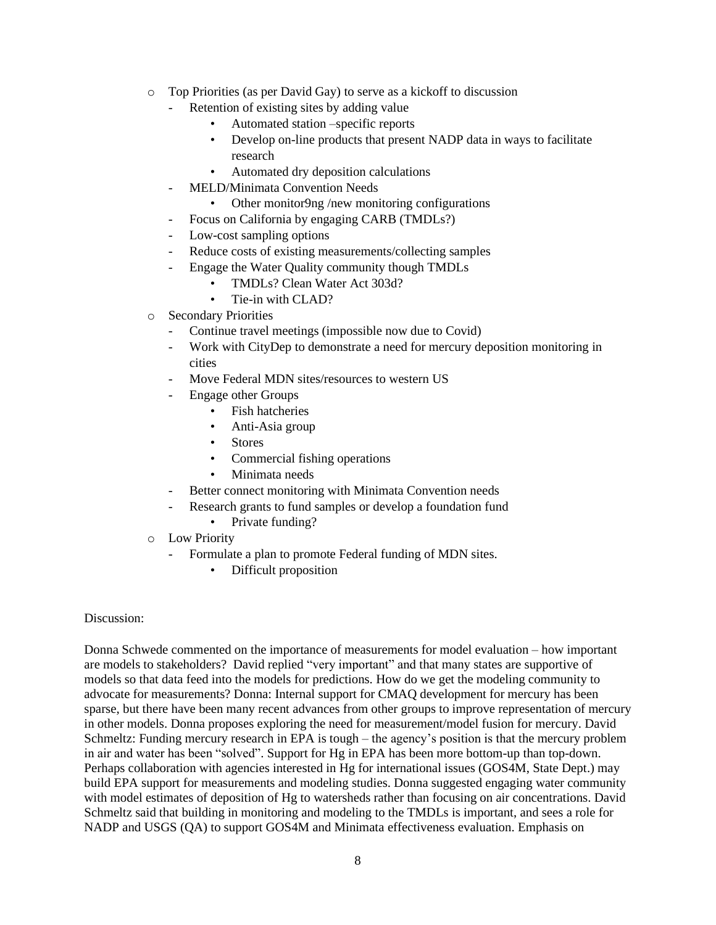- o Top Priorities (as per David Gay) to serve as a kickoff to discussion
	- Retention of existing sites by adding value
		- Automated station –specific reports
		- Develop on-line products that present NADP data in ways to facilitate research
		- Automated dry deposition calculations
	- MELD/Minimata Convention Needs
		- Other monitor9ng /new monitoring configurations
	- Focus on California by engaging CARB (TMDLs?)
	- Low-cost sampling options
	- Reduce costs of existing measurements/collecting samples
	- Engage the Water Quality community though TMDLs
		- TMDLs? Clean Water Act 303d?
		- Tie-in with CLAD?
- o Secondary Priorities
	- Continue travel meetings (impossible now due to Covid)
	- Work with CityDep to demonstrate a need for mercury deposition monitoring in cities
	- Move Federal MDN sites/resources to western US
	- Engage other Groups
		- Fish hatcheries
		- Anti-Asia group
		- **Stores**
		- Commercial fishing operations
		- Minimata needs
	- Better connect monitoring with Minimata Convention needs
	- Research grants to fund samples or develop a foundation fund
		- Private funding?
- o Low Priority
	- Formulate a plan to promote Federal funding of MDN sites.
		- Difficult proposition

Donna Schwede commented on the importance of measurements for model evaluation – how important are models to stakeholders? David replied "very important" and that many states are supportive of models so that data feed into the models for predictions. How do we get the modeling community to advocate for measurements? Donna: Internal support for CMAQ development for mercury has been sparse, but there have been many recent advances from other groups to improve representation of mercury in other models. Donna proposes exploring the need for measurement/model fusion for mercury. David Schmeltz: Funding mercury research in EPA is tough – the agency's position is that the mercury problem in air and water has been "solved". Support for Hg in EPA has been more bottom-up than top-down. Perhaps collaboration with agencies interested in Hg for international issues (GOS4M, State Dept.) may build EPA support for measurements and modeling studies. Donna suggested engaging water community with model estimates of deposition of Hg to watersheds rather than focusing on air concentrations. David Schmeltz said that building in monitoring and modeling to the TMDLs is important, and sees a role for NADP and USGS (QA) to support GOS4M and Minimata effectiveness evaluation. Emphasis on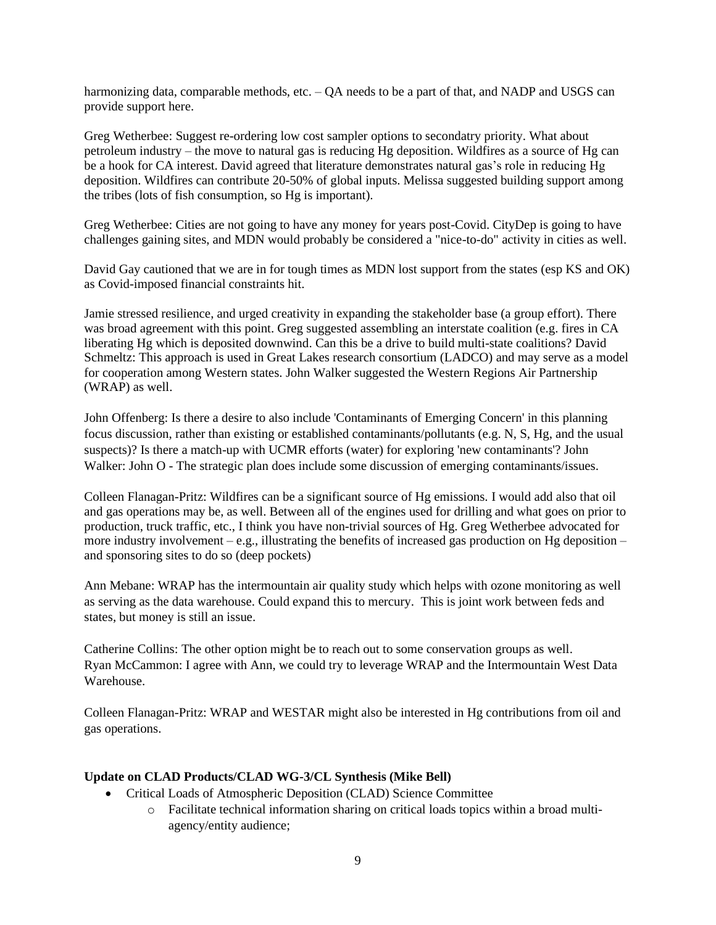harmonizing data, comparable methods, etc. – QA needs to be a part of that, and NADP and USGS can provide support here.

Greg Wetherbee: Suggest re-ordering low cost sampler options to secondatry priority. What about petroleum industry – the move to natural gas is reducing Hg deposition. Wildfires as a source of Hg can be a hook for CA interest. David agreed that literature demonstrates natural gas's role in reducing Hg deposition. Wildfires can contribute 20-50% of global inputs. Melissa suggested building support among the tribes (lots of fish consumption, so Hg is important).

Greg Wetherbee: Cities are not going to have any money for years post-Covid. CityDep is going to have challenges gaining sites, and MDN would probably be considered a "nice-to-do" activity in cities as well.

David Gay cautioned that we are in for tough times as MDN lost support from the states (esp KS and OK) as Covid-imposed financial constraints hit.

Jamie stressed resilience, and urged creativity in expanding the stakeholder base (a group effort). There was broad agreement with this point. Greg suggested assembling an interstate coalition (e.g. fires in CA liberating Hg which is deposited downwind. Can this be a drive to build multi-state coalitions? David Schmeltz: This approach is used in Great Lakes research consortium (LADCO) and may serve as a model for cooperation among Western states. John Walker suggested the Western Regions Air Partnership (WRAP) as well.

John Offenberg: Is there a desire to also include 'Contaminants of Emerging Concern' in this planning focus discussion, rather than existing or established contaminants/pollutants (e.g. N, S, Hg, and the usual suspects)? Is there a match-up with UCMR efforts (water) for exploring 'new contaminants'? John Walker: John O - The strategic plan does include some discussion of emerging contaminants/issues.

Colleen Flanagan-Pritz: Wildfires can be a significant source of Hg emissions. I would add also that oil and gas operations may be, as well. Between all of the engines used for drilling and what goes on prior to production, truck traffic, etc., I think you have non-trivial sources of Hg. Greg Wetherbee advocated for more industry involvement – e.g., illustrating the benefits of increased gas production on Hg deposition – and sponsoring sites to do so (deep pockets)

Ann Mebane: WRAP has the intermountain air quality study which helps with ozone monitoring as well as serving as the data warehouse. Could expand this to mercury. This is joint work between feds and states, but money is still an issue.

Catherine Collins: The other option might be to reach out to some conservation groups as well. Ryan McCammon: I agree with Ann, we could try to leverage WRAP and the Intermountain West Data Warehouse.

Colleen Flanagan-Pritz: WRAP and WESTAR might also be interested in Hg contributions from oil and gas operations.

#### **Update on CLAD Products/CLAD WG-3/CL Synthesis (Mike Bell)**

- Critical Loads of Atmospheric Deposition (CLAD) Science Committee
	- o Facilitate technical information sharing on critical loads topics within a broad multiagency/entity audience;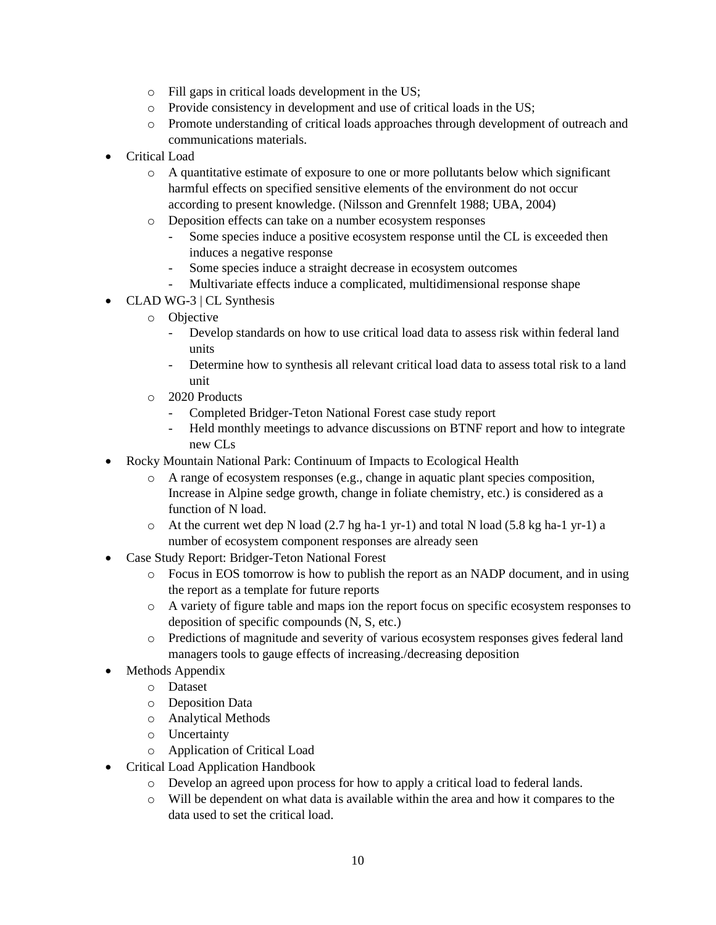- o Fill gaps in critical loads development in the US;
- o Provide consistency in development and use of critical loads in the US;
- o Promote understanding of critical loads approaches through development of outreach and communications materials.
- Critical Load
	- o A quantitative estimate of exposure to one or more pollutants below which significant harmful effects on specified sensitive elements of the environment do not occur according to present knowledge. (Nilsson and Grennfelt 1988; UBA, 2004)
	- o Deposition effects can take on a number ecosystem responses
		- Some species induce a positive ecosystem response until the CL is exceeded then induces a negative response
		- Some species induce a straight decrease in ecosystem outcomes
		- Multivariate effects induce a complicated, multidimensional response shape
- CLAD WG-3 | CL Synthesis
	- o Objective
		- Develop standards on how to use critical load data to assess risk within federal land units
		- Determine how to synthesis all relevant critical load data to assess total risk to a land unit
	- o 2020 Products
		- Completed Bridger-Teton National Forest case study report
		- Held monthly meetings to advance discussions on BTNF report and how to integrate new CLs
- Rocky Mountain National Park: Continuum of Impacts to Ecological Health
	- o A range of ecosystem responses (e.g., change in aquatic plant species composition, Increase in Alpine sedge growth, change in foliate chemistry, etc.) is considered as a function of N load.
	- $\circ$  At the current wet dep N load (2.7 hg ha-1 yr-1) and total N load (5.8 kg ha-1 yr-1) a number of ecosystem component responses are already seen
- Case Study Report: Bridger-Teton National Forest
	- o Focus in EOS tomorrow is how to publish the report as an NADP document, and in using the report as a template for future reports
	- o A variety of figure table and maps ion the report focus on specific ecosystem responses to deposition of specific compounds (N, S, etc.)
	- o Predictions of magnitude and severity of various ecosystem responses gives federal land managers tools to gauge effects of increasing./decreasing deposition
- Methods Appendix
	- o Dataset
	- o Deposition Data
	- o Analytical Methods
	- o Uncertainty
	- o Application of Critical Load
- Critical Load Application Handbook
	- o Develop an agreed upon process for how to apply a critical load to federal lands.
	- o Will be dependent on what data is available within the area and how it compares to the data used to set the critical load.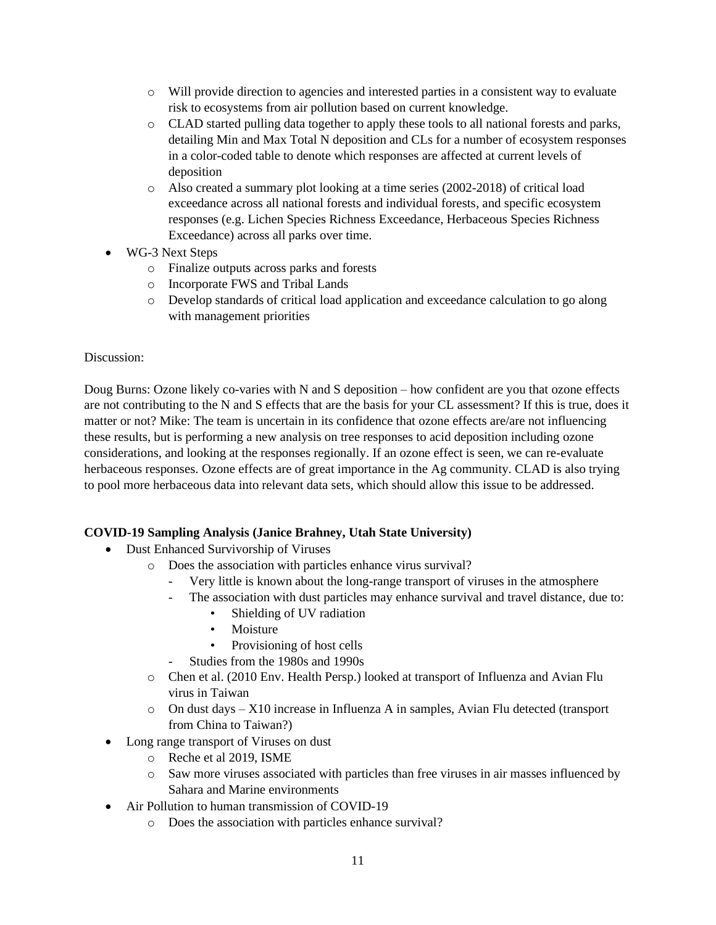- o Will provide direction to agencies and interested parties in a consistent way to evaluate risk to ecosystems from air pollution based on current knowledge.
- o CLAD started pulling data together to apply these tools to all national forests and parks, detailing Min and Max Total N deposition and CLs for a number of ecosystem responses in a color-coded table to denote which responses are affected at current levels of deposition
- o Also created a summary plot looking at a time series (2002-2018) of critical load exceedance across all national forests and individual forests, and specific ecosystem responses (e.g. Lichen Species Richness Exceedance, Herbaceous Species Richness Exceedance) across all parks over time.
- WG-3 Next Steps
	- o Finalize outputs across parks and forests
	- o Incorporate FWS and Tribal Lands
	- o Develop standards of critical load application and exceedance calculation to go along with management priorities

Doug Burns: Ozone likely co-varies with N and S deposition – how confident are you that ozone effects are not contributing to the N and S effects that are the basis for your CL assessment? If this is true, does it matter or not? Mike: The team is uncertain in its confidence that ozone effects are/are not influencing these results, but is performing a new analysis on tree responses to acid deposition including ozone considerations, and looking at the responses regionally. If an ozone effect is seen, we can re-evaluate herbaceous responses. Ozone effects are of great importance in the Ag community. CLAD is also trying to pool more herbaceous data into relevant data sets, which should allow this issue to be addressed.

## **COVID-19 Sampling Analysis (Janice Brahney, Utah State University)**

- Dust Enhanced Survivorship of Viruses
	- o Does the association with particles enhance virus survival?
		- Very little is known about the long-range transport of viruses in the atmosphere
		- The association with dust particles may enhance survival and travel distance, due to:
			- Shielding of UV radiation
			- Moisture
			- Provisioning of host cells
			- Studies from the 1980s and 1990s
	- o Chen et al. (2010 Env. Health Persp.) looked at transport of Influenza and Avian Flu virus in Taiwan
	- o On dust days X10 increase in Influenza A in samples, Avian Flu detected (transport from China to Taiwan?)
- Long range transport of Viruses on dust
	- o Reche et al 2019, ISME
	- o Saw more viruses associated with particles than free viruses in air masses influenced by Sahara and Marine environments
- Air Pollution to human transmission of COVID-19
	- o Does the association with particles enhance survival?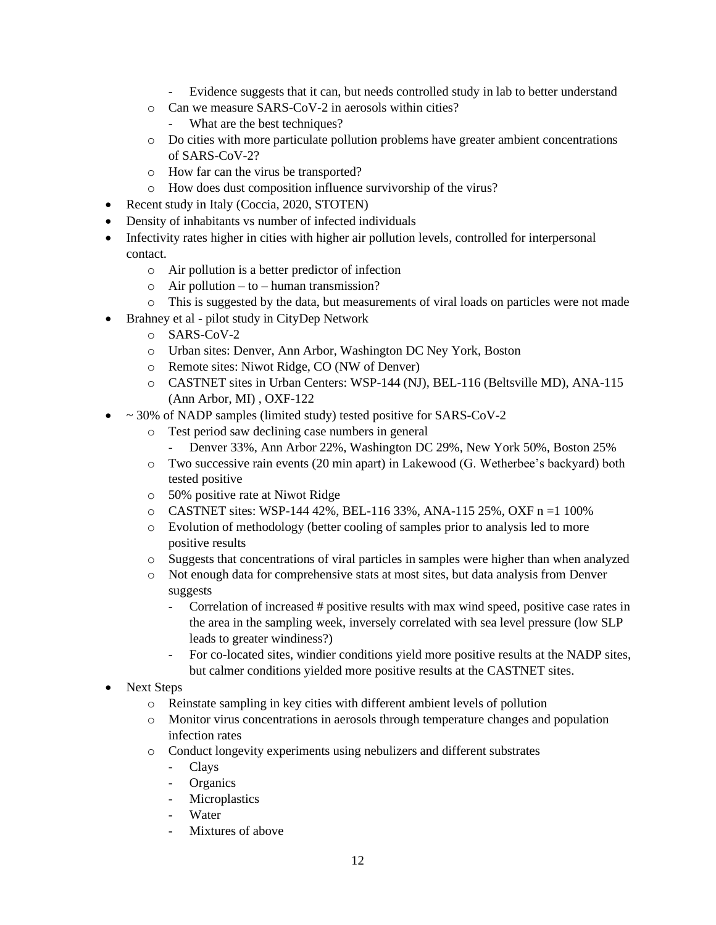- Evidence suggests that it can, but needs controlled study in lab to better understand
- o Can we measure SARS-CoV-2 in aerosols within cities?
	- What are the best techniques?
- o Do cities with more particulate pollution problems have greater ambient concentrations of SARS-CoV-2?
- o How far can the virus be transported?
- o How does dust composition influence survivorship of the virus?
- Recent study in Italy (Coccia, 2020, STOTEN)
- Density of inhabitants vs number of infected individuals
- Infectivity rates higher in cities with higher air pollution levels, controlled for interpersonal contact.
	- o Air pollution is a better predictor of infection
	- $\circ$  Air pollution to human transmission?
	- o This is suggested by the data, but measurements of viral loads on particles were not made
- Brahney et al pilot study in CityDep Network
	- o SARS-CoV-2
	- o Urban sites: Denver, Ann Arbor, Washington DC Ney York, Boston
	- o Remote sites: Niwot Ridge, CO (NW of Denver)
	- o CASTNET sites in Urban Centers: WSP-144 (NJ), BEL-116 (Beltsville MD), ANA-115 (Ann Arbor, MI) , OXF-122
- $\bullet$  ~ 30% of NADP samples (limited study) tested positive for SARS-CoV-2
	- o Test period saw declining case numbers in general
		- Denver 33%, Ann Arbor 22%, Washington DC 29%, New York 50%, Boston 25%
	- o Two successive rain events (20 min apart) in Lakewood (G. Wetherbee's backyard) both tested positive
	- o 50% positive rate at Niwot Ridge
	- $\circ$  CASTNET sites: WSP-144 42%, BEL-116 33%, ANA-115 25%, OXF n = 1 100%
	- o Evolution of methodology (better cooling of samples prior to analysis led to more positive results
	- o Suggests that concentrations of viral particles in samples were higher than when analyzed
	- o Not enough data for comprehensive stats at most sites, but data analysis from Denver suggests
		- Correlation of increased # positive results with max wind speed, positive case rates in the area in the sampling week, inversely correlated with sea level pressure (low SLP leads to greater windiness?)
		- For co-located sites, windier conditions yield more positive results at the NADP sites, but calmer conditions yielded more positive results at the CASTNET sites.
- Next Steps
	- o Reinstate sampling in key cities with different ambient levels of pollution
	- o Monitor virus concentrations in aerosols through temperature changes and population infection rates
	- o Conduct longevity experiments using nebulizers and different substrates
		- Clays
		- Organics
		- Microplastics
		- **Water**
		- Mixtures of above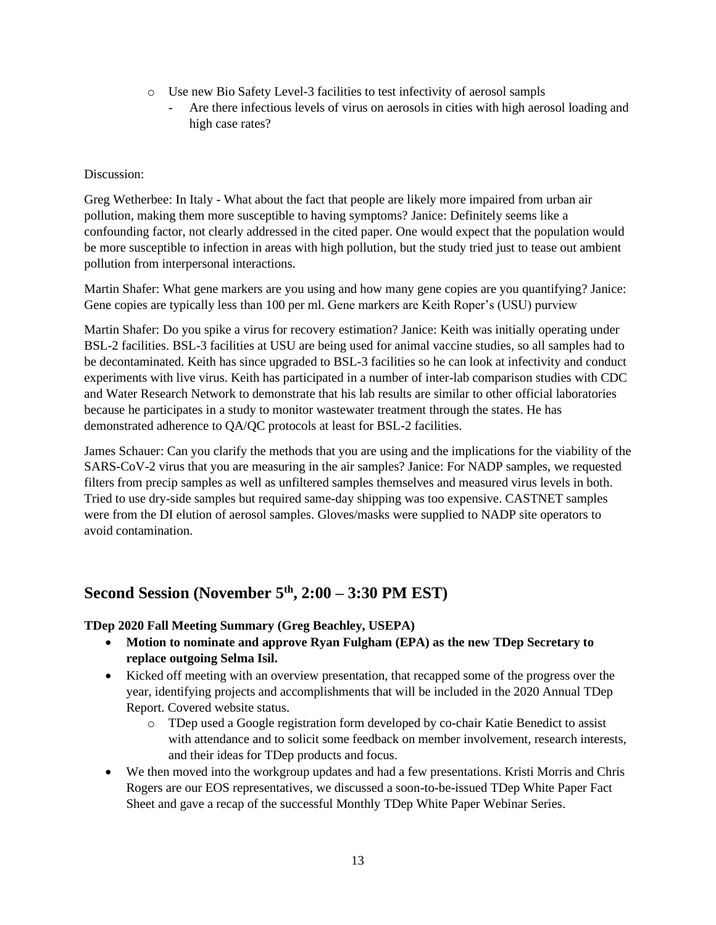- o Use new Bio Safety Level-3 facilities to test infectivity of aerosol sampls
	- Are there infectious levels of virus on aerosols in cities with high aerosol loading and high case rates?

Greg Wetherbee: In Italy - What about the fact that people are likely more impaired from urban air pollution, making them more susceptible to having symptoms? Janice: Definitely seems like a confounding factor, not clearly addressed in the cited paper. One would expect that the population would be more susceptible to infection in areas with high pollution, but the study tried just to tease out ambient pollution from interpersonal interactions.

Martin Shafer: What gene markers are you using and how many gene copies are you quantifying? Janice: Gene copies are typically less than 100 per ml. Gene markers are Keith Roper's (USU) purview

Martin Shafer: Do you spike a virus for recovery estimation? Janice: Keith was initially operating under BSL-2 facilities. BSL-3 facilities at USU are being used for animal vaccine studies, so all samples had to be decontaminated. Keith has since upgraded to BSL-3 facilities so he can look at infectivity and conduct experiments with live virus. Keith has participated in a number of inter-lab comparison studies with CDC and Water Research Network to demonstrate that his lab results are similar to other official laboratories because he participates in a study to monitor wastewater treatment through the states. He has demonstrated adherence to QA/QC protocols at least for BSL-2 facilities.

James Schauer: Can you clarify the methods that you are using and the implications for the viability of the SARS-CoV-2 virus that you are measuring in the air samples? Janice: For NADP samples, we requested filters from precip samples as well as unfiltered samples themselves and measured virus levels in both. Tried to use dry-side samples but required same-day shipping was too expensive. CASTNET samples were from the DI elution of aerosol samples. Gloves/masks were supplied to NADP site operators to avoid contamination.

## **Second Session (November 5th, 2:00 – 3:30 PM EST)**

## **TDep 2020 Fall Meeting Summary (Greg Beachley, USEPA)**

- **Motion to nominate and approve Ryan Fulgham (EPA) as the new TDep Secretary to replace outgoing Selma Isil.**
- Kicked off meeting with an overview presentation, that recapped some of the progress over the year, identifying projects and accomplishments that will be included in the 2020 Annual TDep Report. Covered website status.
	- o TDep used a Google registration form developed by co-chair Katie Benedict to assist with attendance and to solicit some feedback on member involvement, research interests, and their ideas for TDep products and focus.
- We then moved into the workgroup updates and had a few presentations. Kristi Morris and Chris Rogers are our EOS representatives, we discussed a soon-to-be-issued TDep White Paper Fact Sheet and gave a recap of the successful Monthly TDep White Paper Webinar Series.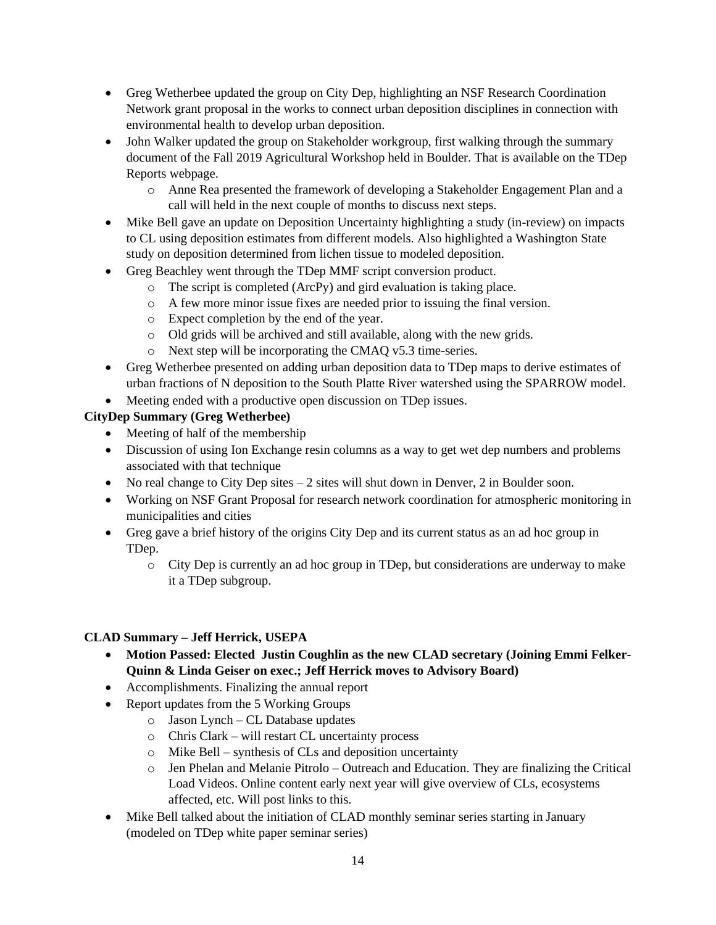- Greg Wetherbee updated the group on City Dep, highlighting an NSF Research Coordination Network grant proposal in the works to connect urban deposition disciplines in connection with environmental health to develop urban deposition.
- John Walker updated the group on Stakeholder workgroup, first walking through the summary document of the Fall 2019 Agricultural Workshop held in Boulder. That is available on the TDep Reports webpage.
	- o Anne Rea presented the framework of developing a Stakeholder Engagement Plan and a call will held in the next couple of months to discuss next steps.
- Mike Bell gave an update on Deposition Uncertainty highlighting a study (in-review) on impacts to CL using deposition estimates from different models. Also highlighted a Washington State study on deposition determined from lichen tissue to modeled deposition.
- Greg Beachley went through the TDep MMF script conversion product.
	- o The script is completed (ArcPy) and gird evaluation is taking place.
	- o A few more minor issue fixes are needed prior to issuing the final version.
	- o Expect completion by the end of the year.
	- o Old grids will be archived and still available, along with the new grids.
	- o Next step will be incorporating the CMAQ v5.3 time-series.
- Greg Wetherbee presented on adding urban deposition data to TDep maps to derive estimates of urban fractions of N deposition to the South Platte River watershed using the SPARROW model.
- Meeting ended with a productive open discussion on TDep issues.

## **CityDep Summary (Greg Wetherbee)**

- Meeting of half of the membership
- Discussion of using Ion Exchange resin columns as a way to get wet dep numbers and problems associated with that technique
- No real change to City Dep sites  $-2$  sites will shut down in Denver, 2 in Boulder soon.
- Working on NSF Grant Proposal for research network coordination for atmospheric monitoring in municipalities and cities
- Greg gave a brief history of the origins City Dep and its current status as an ad hoc group in TDep.
	- o City Dep is currently an ad hoc group in TDep, but considerations are underway to make it a TDep subgroup.

## **CLAD Summary – Jeff Herrick, USEPA**

- **Motion Passed: Elected Justin Coughlin as the new CLAD secretary (Joining Emmi Felker-Quinn & Linda Geiser on exec.; Jeff Herrick moves to Advisory Board)**
- Accomplishments. Finalizing the annual report
- Report updates from the 5 Working Groups
	- o Jason Lynch CL Database updates
	- o Chris Clark will restart CL uncertainty process
	- o Mike Bell synthesis of CLs and deposition uncertainty
	- $\circ$  Jen Phelan and Melanie Pitrolo Outreach and Education. They are finalizing the Critical Load Videos. Online content early next year will give overview of CLs, ecosystems affected, etc. Will post links to this.
- Mike Bell talked about the initiation of CLAD monthly seminar series starting in January (modeled on TDep white paper seminar series)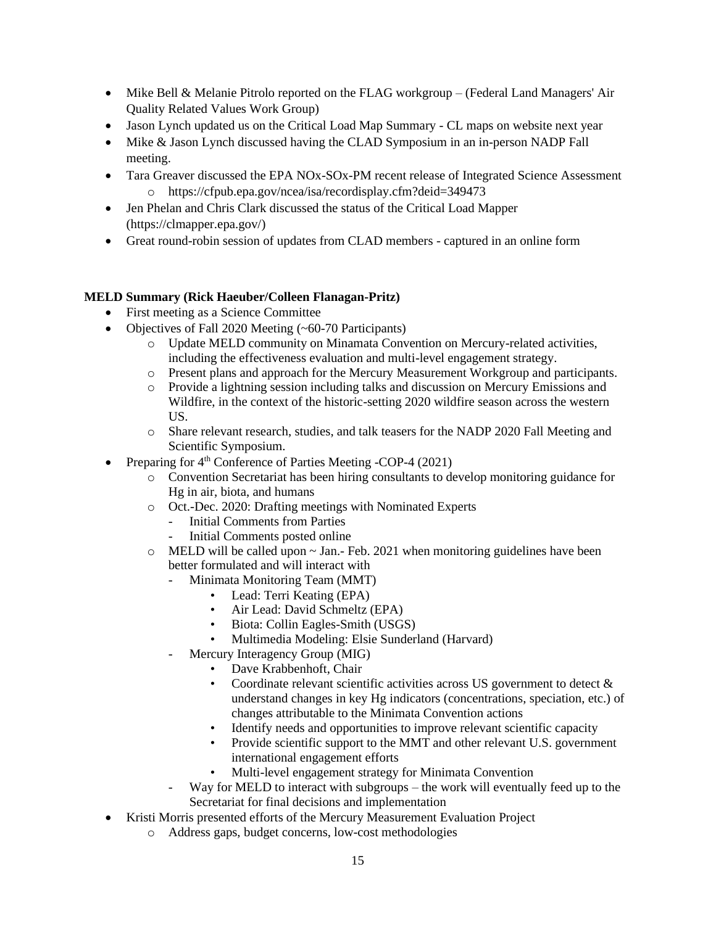- Mike Bell & Melanie Pitrolo reported on the FLAG workgroup (Federal Land Managers' Air Quality Related Values Work Group)
- Jason Lynch updated us on the Critical Load Map Summary CL maps on website next year
- Mike & Jason Lynch discussed having the CLAD Symposium in an in-person NADP Fall meeting.
- Tara Greaver discussed the EPA NOx-SOx-PM recent release of Integrated Science Assessment o https://cfpub.epa.gov/ncea/isa/recordisplay.cfm?deid=349473
- Jen Phelan and Chris Clark discussed the status of the Critical Load Mapper (https://clmapper.epa.gov/)
- Great round-robin session of updates from CLAD members captured in an online form

### **MELD Summary (Rick Haeuber/Colleen Flanagan-Pritz)**

- First meeting as a Science Committee
- Objectives of Fall 2020 Meeting (~60-70 Participants)
	- o Update MELD community on Minamata Convention on Mercury-related activities, including the effectiveness evaluation and multi-level engagement strategy.
	- o Present plans and approach for the Mercury Measurement Workgroup and participants.
	- o Provide a lightning session including talks and discussion on Mercury Emissions and Wildfire, in the context of the historic-setting 2020 wildfire season across the western US.
	- o Share relevant research, studies, and talk teasers for the NADP 2020 Fall Meeting and Scientific Symposium.
- Preparing for 4<sup>th</sup> Conference of Parties Meeting -COP-4 (2021)
	- o Convention Secretariat has been hiring consultants to develop monitoring guidance for Hg in air, biota, and humans
	- o Oct.-Dec. 2020: Drafting meetings with Nominated Experts
		- Initial Comments from Parties
		- Initial Comments posted online
	- $\circ$  MELD will be called upon  $\sim$  Jan.- Feb. 2021 when monitoring guidelines have been better formulated and will interact with
		- Minimata Monitoring Team (MMT)
			- Lead: Terri Keating (EPA)
			- Air Lead: David Schmeltz (EPA)
			- Biota: Collin Eagles-Smith (USGS)
			- Multimedia Modeling: Elsie Sunderland (Harvard)
		- Mercury Interagency Group (MIG)
			- Dave Krabbenhoft, Chair
			- Coordinate relevant scientific activities across US government to detect  $\&$ understand changes in key Hg indicators (concentrations, speciation, etc.) of changes attributable to the Minimata Convention actions
			- Identify needs and opportunities to improve relevant scientific capacity
			- Provide scientific support to the MMT and other relevant U.S. government international engagement efforts
			- Multi-level engagement strategy for Minimata Convention
			- Way for MELD to interact with subgroups the work will eventually feed up to the Secretariat for final decisions and implementation
- Kristi Morris presented efforts of the Mercury Measurement Evaluation Project
	- o Address gaps, budget concerns, low-cost methodologies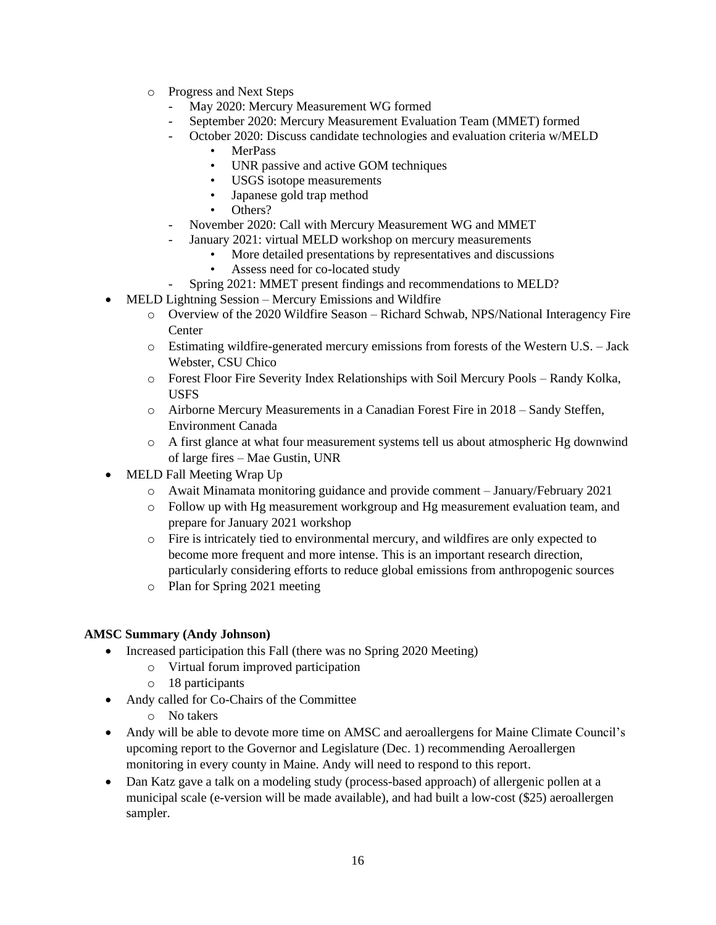- o Progress and Next Steps
	- May 2020: Mercury Measurement WG formed
	- September 2020: Mercury Measurement Evaluation Team (MMET) formed
	- October 2020: Discuss candidate technologies and evaluation criteria w/MELD
		- MerPass
		- UNR passive and active GOM techniques
		- USGS isotope measurements
		- Japanese gold trap method
		- Others?
	- November 2020: Call with Mercury Measurement WG and MMET
	- January 2021: virtual MELD workshop on mercury measurements
		- More detailed presentations by representatives and discussions
		- Assess need for co-located study
		- Spring 2021: MMET present findings and recommendations to MELD?
- MELD Lightning Session Mercury Emissions and Wildfire
	- o Overview of the 2020 Wildfire Season Richard Schwab, NPS/National Interagency Fire **Center**
	- o Estimating wildfire-generated mercury emissions from forests of the Western U.S. Jack Webster, CSU Chico
	- o Forest Floor Fire Severity Index Relationships with Soil Mercury Pools Randy Kolka, USFS
	- o Airborne Mercury Measurements in a Canadian Forest Fire in 2018 Sandy Steffen, Environment Canada
	- o A first glance at what four measurement systems tell us about atmospheric Hg downwind of large fires – Mae Gustin, UNR
- MELD Fall Meeting Wrap Up
	- o Await Minamata monitoring guidance and provide comment January/February 2021
	- o Follow up with Hg measurement workgroup and Hg measurement evaluation team, and prepare for January 2021 workshop
	- o Fire is intricately tied to environmental mercury, and wildfires are only expected to become more frequent and more intense. This is an important research direction, particularly considering efforts to reduce global emissions from anthropogenic sources
	- o Plan for Spring 2021 meeting

## **AMSC Summary (Andy Johnson)**

- Increased participation this Fall (there was no Spring 2020 Meeting)
	- o Virtual forum improved participation
		- o 18 participants
- Andy called for Co-Chairs of the Committee
	- o No takers
- Andy will be able to devote more time on AMSC and aeroallergens for Maine Climate Council's upcoming report to the Governor and Legislature (Dec. 1) recommending Aeroallergen monitoring in every county in Maine. Andy will need to respond to this report.
- Dan Katz gave a talk on a modeling study (process-based approach) of allergenic pollen at a municipal scale (e-version will be made available), and had built a low-cost (\$25) aeroallergen sampler.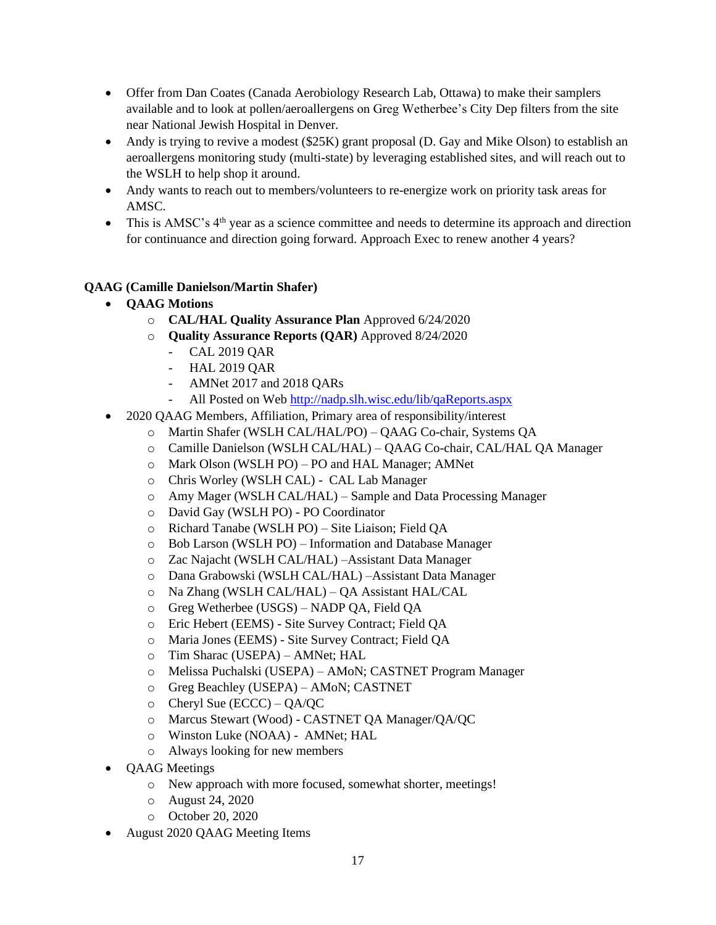- Offer from Dan Coates (Canada Aerobiology Research Lab, Ottawa) to make their samplers available and to look at pollen/aeroallergens on Greg Wetherbee's City Dep filters from the site near National Jewish Hospital in Denver.
- Andy is trying to revive a modest (\$25K) grant proposal (D. Gay and Mike Olson) to establish an aeroallergens monitoring study (multi-state) by leveraging established sites, and will reach out to the WSLH to help shop it around.
- Andy wants to reach out to members/volunteers to re-energize work on priority task areas for AMSC.
- This is AMSC's  $4<sup>th</sup>$  year as a science committee and needs to determine its approach and direction for continuance and direction going forward. Approach Exec to renew another 4 years?

## **QAAG (Camille Danielson/Martin Shafer)**

- **QAAG Motions**
	- o **CAL/HAL Quality Assurance Plan** Approved 6/24/2020
	- o **Quality Assurance Reports (QAR)** Approved 8/24/2020
		- CAL 2019 QAR
		- HAL 2019 QAR
		- AMNet 2017 and 2018 QARs
		- All Posted on Web<http://nadp.slh.wisc.edu/lib/qaReports.aspx>
	- 2020 QAAG Members, Affiliation, Primary area of responsibility/interest
		- o Martin Shafer (WSLH CAL/HAL/PO) QAAG Co-chair, Systems QA
		- o Camille Danielson (WSLH CAL/HAL) QAAG Co-chair, CAL/HAL QA Manager
		- o Mark Olson (WSLH PO) PO and HAL Manager; AMNet
		- o Chris Worley (WSLH CAL) CAL Lab Manager
		- o Amy Mager (WSLH CAL/HAL) Sample and Data Processing Manager
		- o David Gay (WSLH PO) PO Coordinator
		- o Richard Tanabe (WSLH PO) Site Liaison; Field QA
		- o Bob Larson (WSLH PO) Information and Database Manager
		- o Zac Najacht (WSLH CAL/HAL) –Assistant Data Manager
		- o Dana Grabowski (WSLH CAL/HAL) –Assistant Data Manager
		- o Na Zhang (WSLH CAL/HAL) QA Assistant HAL/CAL
		- o Greg Wetherbee (USGS) NADP QA, Field QA
		- o Eric Hebert (EEMS) Site Survey Contract; Field QA
		- o Maria Jones (EEMS) Site Survey Contract; Field QA
		- o Tim Sharac (USEPA) AMNet; HAL
		- o Melissa Puchalski (USEPA) AMoN; CASTNET Program Manager
		- o Greg Beachley (USEPA) AMoN; CASTNET
		- o Cheryl Sue (ECCC) QA/QC
		- o Marcus Stewart (Wood) CASTNET QA Manager/QA/QC
		- o Winston Luke (NOAA) AMNet; HAL
		- o Always looking for new members
	- QAAG Meetings
		- o New approach with more focused, somewhat shorter, meetings!
		- o August 24, 2020
		- o October 20, 2020
	- August 2020 QAAG Meeting Items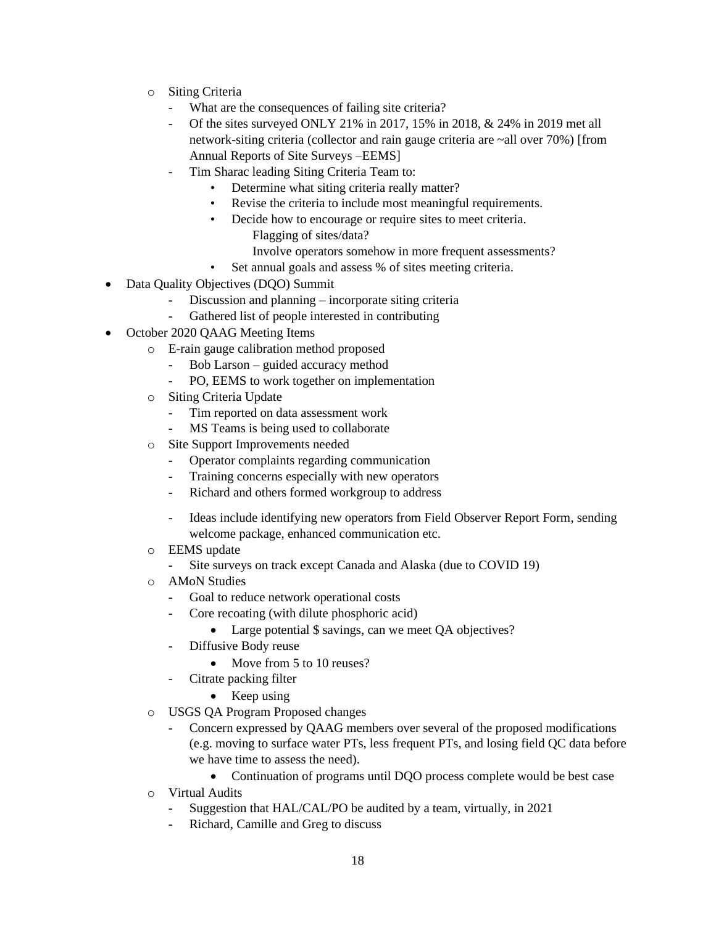- o Siting Criteria
	- What are the consequences of failing site criteria?
	- Of the sites surveyed ONLY 21% in 2017, 15% in 2018, & 24% in 2019 met all network-siting criteria (collector and rain gauge criteria are ~all over 70%) [from Annual Reports of Site Surveys –EEMS]
	- Tim Sharac leading Siting Criteria Team to:
		- Determine what siting criteria really matter?
		- Revise the criteria to include most meaningful requirements.
		- Decide how to encourage or require sites to meet criteria.
			- Flagging of sites/data?
			- Involve operators somehow in more frequent assessments?
		- Set annual goals and assess % of sites meeting criteria.
- Data Quality Objectives (DQO) Summit
	- Discussion and planning incorporate siting criteria
	- Gathered list of people interested in contributing
- October 2020 QAAG Meeting Items
	- o E-rain gauge calibration method proposed
		- Bob Larson guided accuracy method
		- PO, EEMS to work together on implementation
	- o Siting Criteria Update
		- Tim reported on data assessment work
		- MS Teams is being used to collaborate
	- o Site Support Improvements needed
		- Operator complaints regarding communication
		- Training concerns especially with new operators
		- Richard and others formed workgroup to address
		- Ideas include identifying new operators from Field Observer Report Form, sending welcome package, enhanced communication etc.
	- o EEMS update
		- Site surveys on track except Canada and Alaska (due to COVID 19)
	- o AMoN Studies
		- Goal to reduce network operational costs
			- Core recoating (with dilute phosphoric acid)
				- Large potential \$ savings, can we meet QA objectives?
		- Diffusive Body reuse
			- Move from 5 to 10 reuses?
		- Citrate packing filter
			- Keep using
	- o USGS QA Program Proposed changes
		- Concern expressed by QAAG members over several of the proposed modifications (e.g. moving to surface water PTs, less frequent PTs, and losing field QC data before we have time to assess the need).
			- Continuation of programs until DQO process complete would be best case
	- o Virtual Audits
		- Suggestion that HAL/CAL/PO be audited by a team, virtually, in 2021
		- Richard, Camille and Greg to discuss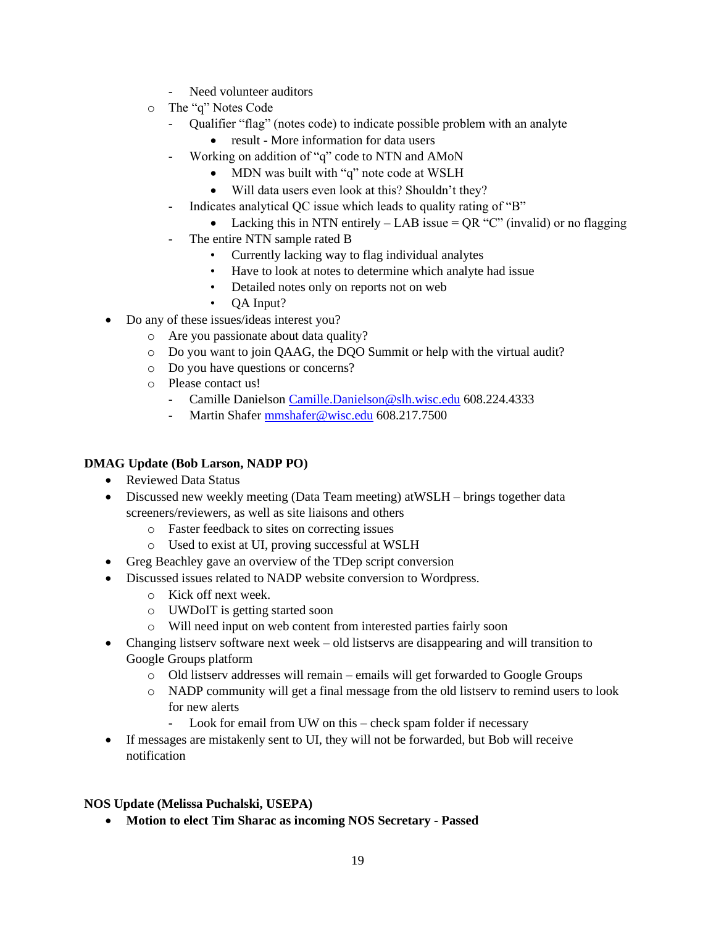- Need volunteer auditors
- o The "q" Notes Code
	- Qualifier "flag" (notes code) to indicate possible problem with an analyte
		- result More information for data users
		- Working on addition of "q" code to NTN and AMoN
			- MDN was built with "q" note code at WSLH
			- Will data users even look at this? Shouldn't they?
	- Indicates analytical QC issue which leads to quality rating of "B"
		- Lacking this in NTN entirely  $-$  LAB issue  $=$  QR "C" (invalid) or no flagging
	- The entire NTN sample rated B
		- Currently lacking way to flag individual analytes
		- Have to look at notes to determine which analyte had issue
		- Detailed notes only on reports not on web
		- QA Input?
- Do any of these issues/ideas interest you?
	- o Are you passionate about data quality?
	- o Do you want to join QAAG, the DQO Summit or help with the virtual audit?
	- o Do you have questions or concerns?
	- o Please contact us!
		- Camille Danielson [Camille.Danielson@slh.wisc.edu](mailto:Camille.Danielson@slh.wisc.edu) 608.224.4333
		- Martin Shafer [mmshafer@wisc.edu](mailto:mmshafer@wisc.edu) 608.217.7500

#### **DMAG Update (Bob Larson, NADP PO)**

- Reviewed Data Status
- Discussed new weekly meeting (Data Team meeting) at WSLH brings together data screeners/reviewers, as well as site liaisons and others
	- o Faster feedback to sites on correcting issues
	- o Used to exist at UI, proving successful at WSLH
- Greg Beachley gave an overview of the TDep script conversion
- Discussed issues related to NADP website conversion to Wordpress.
	- o Kick off next week.
	- o UWDoIT is getting started soon
	- o Will need input on web content from interested parties fairly soon
- Changing listserv software next week old listservs are disappearing and will transition to Google Groups platform
	- o Old listserv addresses will remain emails will get forwarded to Google Groups
	- o NADP community will get a final message from the old listserv to remind users to look for new alerts
		- Look for email from UW on this check spam folder if necessary
- If messages are mistakenly sent to UI, they will not be forwarded, but Bob will receive notification

#### **NOS Update (Melissa Puchalski, USEPA)**

• **Motion to elect Tim Sharac as incoming NOS Secretary - Passed**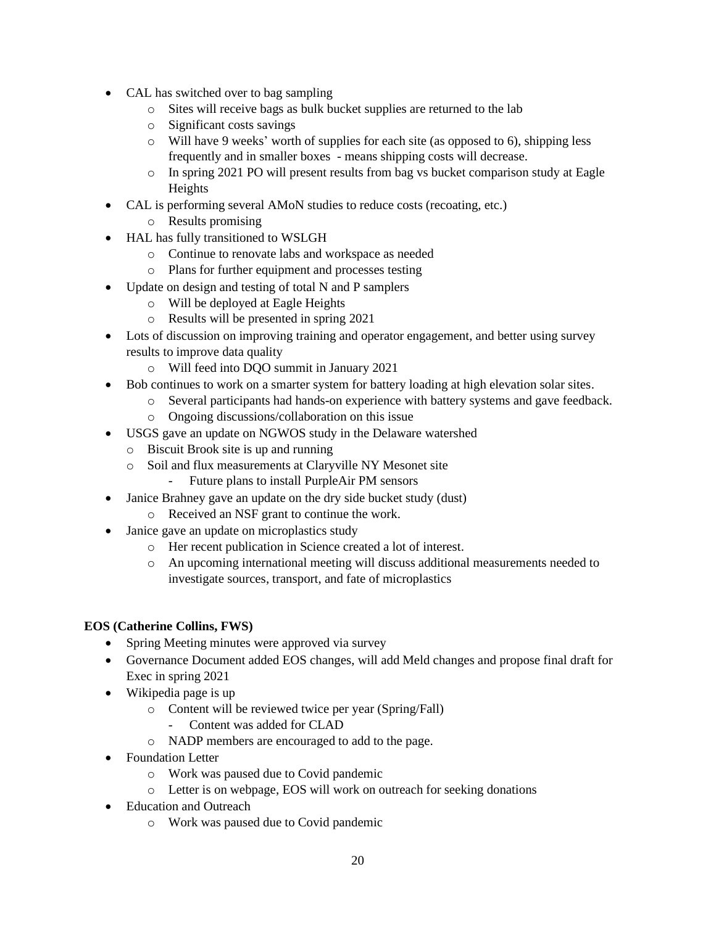- CAL has switched over to bag sampling
	- o Sites will receive bags as bulk bucket supplies are returned to the lab
	- o Significant costs savings
	- o Will have 9 weeks' worth of supplies for each site (as opposed to 6), shipping less frequently and in smaller boxes - means shipping costs will decrease.
	- o In spring 2021 PO will present results from bag vs bucket comparison study at Eagle Heights
- CAL is performing several AMoN studies to reduce costs (recoating, etc.)
	- o Results promising
- HAL has fully transitioned to WSLGH
	- o Continue to renovate labs and workspace as needed
	- o Plans for further equipment and processes testing
- Update on design and testing of total N and P samplers
	- o Will be deployed at Eagle Heights
	- o Results will be presented in spring 2021
- Lots of discussion on improving training and operator engagement, and better using survey results to improve data quality
	- o Will feed into DQO summit in January 2021
- Bob continues to work on a smarter system for battery loading at high elevation solar sites.
	- o Several participants had hands-on experience with battery systems and gave feedback.
		- o Ongoing discussions/collaboration on this issue
- USGS gave an update on NGWOS study in the Delaware watershed
	- o Biscuit Brook site is up and running
	- o Soil and flux measurements at Claryville NY Mesonet site
		- Future plans to install PurpleAir PM sensors
	- Janice Brahney gave an update on the dry side bucket study (dust)
		- o Received an NSF grant to continue the work.
- Janice gave an update on microplastics study
	- o Her recent publication in Science created a lot of interest.
	- o An upcoming international meeting will discuss additional measurements needed to investigate sources, transport, and fate of microplastics

## **EOS (Catherine Collins, FWS)**

- Spring Meeting minutes were approved via survey
- Governance Document added EOS changes, will add Meld changes and propose final draft for Exec in spring 2021
- Wikipedia page is up
	- o Content will be reviewed twice per year (Spring/Fall)
		- Content was added for CLAD
	- o NADP members are encouraged to add to the page.
- Foundation Letter
	- o Work was paused due to Covid pandemic
	- o Letter is on webpage, EOS will work on outreach for seeking donations
- Education and Outreach
	- o Work was paused due to Covid pandemic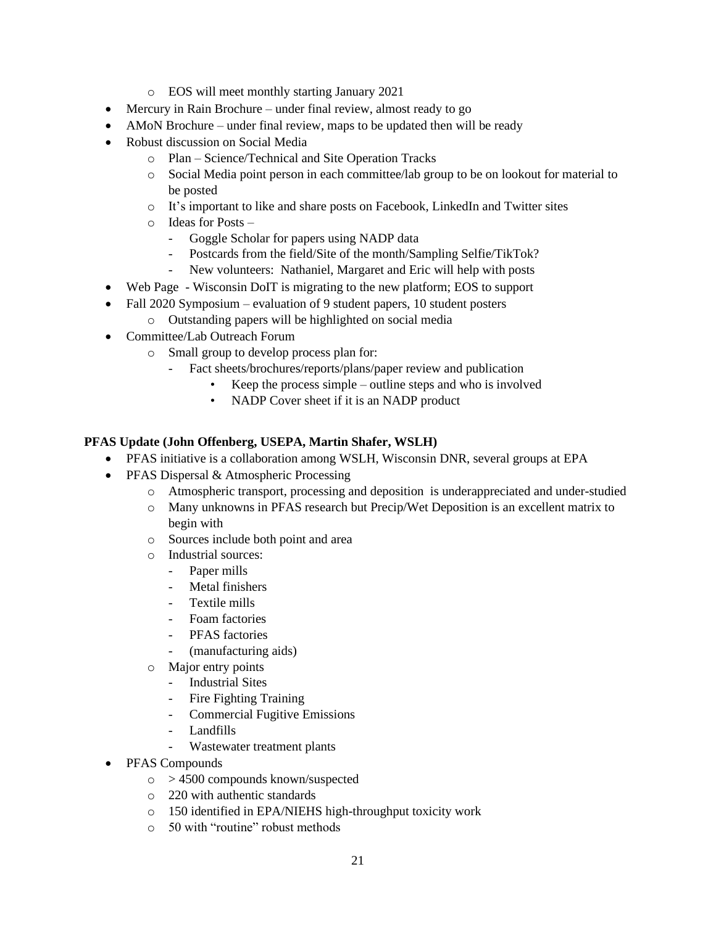- o EOS will meet monthly starting January 2021
- Mercury in Rain Brochure under final review, almost ready to go
- AMoN Brochure under final review, maps to be updated then will be ready
- Robust discussion on Social Media
	- o Plan Science/Technical and Site Operation Tracks
	- o Social Media point person in each committee/lab group to be on lookout for material to be posted
	- o It's important to like and share posts on Facebook, LinkedIn and Twitter sites
	- o Ideas for Posts
		- Goggle Scholar for papers using NADP data
		- Postcards from the field/Site of the month/Sampling Selfie/TikTok?
		- New volunteers: Nathaniel, Margaret and Eric will help with posts
- Web Page Wisconsin DoIT is migrating to the new platform; EOS to support
- Fall 2020 Symposium evaluation of 9 student papers, 10 student posters
	- o Outstanding papers will be highlighted on social media
- Committee/Lab Outreach Forum
	- o Small group to develop process plan for:
		- Fact sheets/brochures/reports/plans/paper review and publication
			- Keep the process simple outline steps and who is involved
			- NADP Cover sheet if it is an NADP product

#### **PFAS Update (John Offenberg, USEPA, Martin Shafer, WSLH)**

- PFAS initiative is a collaboration among WSLH, Wisconsin DNR, several groups at EPA
- PFAS Dispersal & Atmospheric Processing
	- o Atmospheric transport, processing and deposition is underappreciated and under-studied
	- o Many unknowns in PFAS research but Precip/Wet Deposition is an excellent matrix to begin with
	- o Sources include both point and area
	- o Industrial sources:
		- Paper mills
		- Metal finishers
		- Textile mills
		- Foam factories
		- PFAS factories
		- (manufacturing aids)
	- o Major entry points
		- Industrial Sites
		- Fire Fighting Training
		- Commercial Fugitive Emissions
		- Landfills
		- Wastewater treatment plants
- PFAS Compounds
	- $\circ$  > 4500 compounds known/suspected
	- o 220 with authentic standards
	- o 150 identified in EPA/NIEHS high-throughput toxicity work
	- o 50 with "routine" robust methods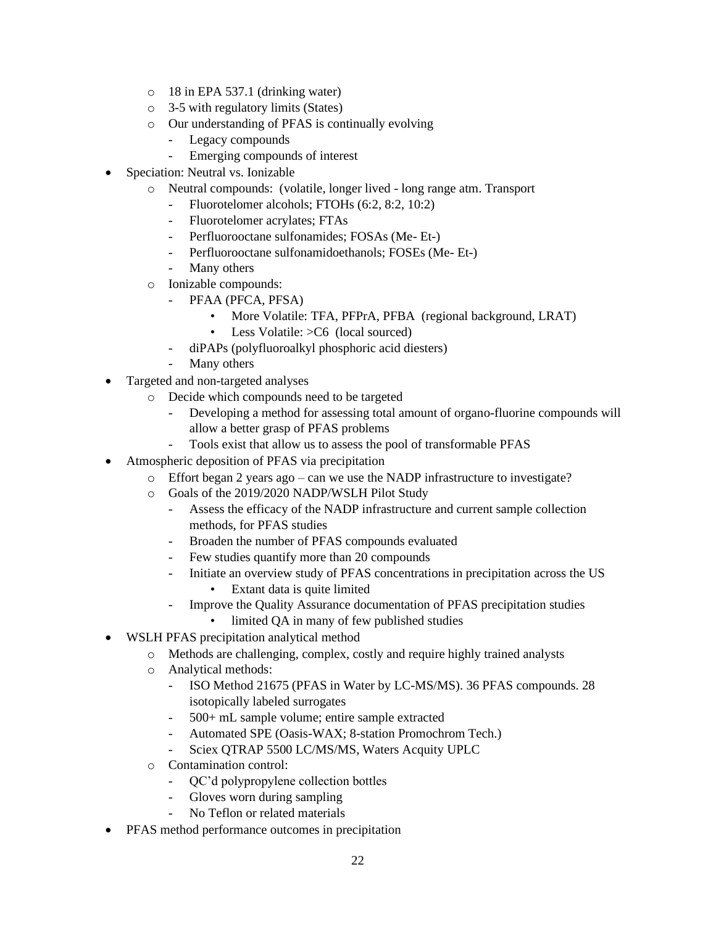- o 18 in EPA 537.1 (drinking water)
- o 3-5 with regulatory limits (States)
- o Our understanding of PFAS is continually evolving
	- Legacy compounds
	- Emerging compounds of interest
- Speciation: Neutral vs. Ionizable
	- o Neutral compounds: (volatile, longer lived long range atm. Transport
		- Fluorotelomer alcohols; FTOHs (6:2, 8:2, 10:2)
		- Fluorotelomer acrylates; FTAs
		- Perfluorooctane sulfonamides; FOSAs (Me- Et-)
		- Perfluorooctane sulfonamidoethanols; FOSEs (Me- Et-)
		- Many others
	- o Ionizable compounds:
		- PFAA (PFCA, PFSA)
			- More Volatile: TFA, PFPrA, PFBA (regional background, LRAT)
			- Less Volatile:  $>$ C6 (local sourced)
		- diPAPs (polyfluoroalkyl phosphoric acid diesters)
		- Many others
- Targeted and non-targeted analyses
	- o Decide which compounds need to be targeted
		- Developing a method for assessing total amount of organo-fluorine compounds will allow a better grasp of PFAS problems
		- Tools exist that allow us to assess the pool of transformable PFAS
- Atmospheric deposition of PFAS via precipitation
	- o Effort began 2 years ago can we use the NADP infrastructure to investigate?
		- o Goals of the 2019/2020 NADP/WSLH Pilot Study
			- Assess the efficacy of the NADP infrastructure and current sample collection methods, for PFAS studies
			- Broaden the number of PFAS compounds evaluated
			- Few studies quantify more than 20 compounds
			- Initiate an overview study of PFAS concentrations in precipitation across the US
				- Extant data is quite limited
			- Improve the Quality Assurance documentation of PFAS precipitation studies
				- limited QA in many of few published studies
- WSLH PFAS precipitation analytical method
	- o Methods are challenging, complex, costly and require highly trained analysts
	- o Analytical methods:
		- ISO Method 21675 (PFAS in Water by LC-MS/MS). 36 PFAS compounds. 28 isotopically labeled surrogates
		- 500+ mL sample volume; entire sample extracted
		- Automated SPE (Oasis-WAX; 8-station Promochrom Tech.)
		- Sciex QTRAP 5500 LC/MS/MS, Waters Acquity UPLC
	- o Contamination control:
		- QC'd polypropylene collection bottles
		- Gloves worn during sampling
		- No Teflon or related materials
- PFAS method performance outcomes in precipitation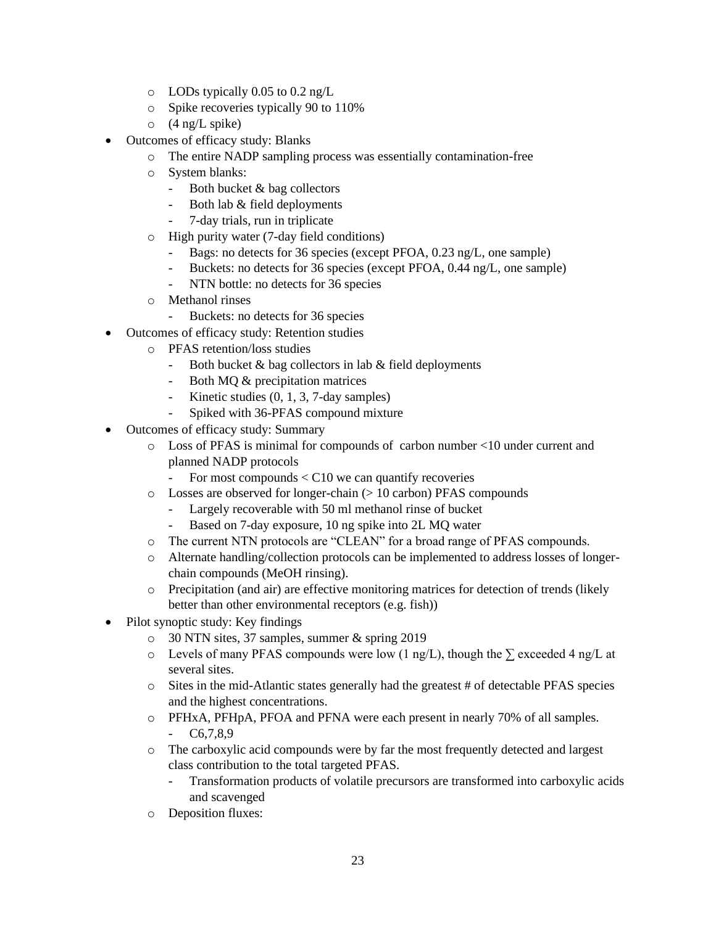- o LODs typically 0.05 to 0.2 ng/L
- o Spike recoveries typically 90 to 110%
- $\circ$  (4 ng/L spike)
- Outcomes of efficacy study: Blanks
	- o The entire NADP sampling process was essentially contamination-free
	- o System blanks:
		- Both bucket & bag collectors
		- Both lab & field deployments
		- 7-day trials, run in triplicate
	- o High purity water (7-day field conditions)
		- Bags: no detects for 36 species (except PFOA, 0.23 ng/L, one sample)
		- Buckets: no detects for 36 species (except PFOA, 0.44 ng/L, one sample)
		- NTN bottle: no detects for 36 species
	- o Methanol rinses
		- Buckets: no detects for 36 species
- Outcomes of efficacy study: Retention studies
	- o PFAS retention/loss studies
		- Both bucket & bag collectors in lab & field deployments
		- Both MQ & precipitation matrices
		- Kinetic studies (0, 1, 3, 7-day samples)
		- Spiked with 36-PFAS compound mixture
- Outcomes of efficacy study: Summary
	- o Loss of PFAS is minimal for compounds of carbon number <10 under current and planned NADP protocols
		- For most compounds < C10 we can quantify recoveries
	- $\circ$  Losses are observed for longer-chain ( $> 10$  carbon) PFAS compounds
		- Largely recoverable with 50 ml methanol rinse of bucket
		- Based on 7-day exposure, 10 ng spike into 2L MQ water
	- o The current NTN protocols are "CLEAN" for a broad range of PFAS compounds.
	- o Alternate handling/collection protocols can be implemented to address losses of longerchain compounds (MeOH rinsing).
	- o Precipitation (and air) are effective monitoring matrices for detection of trends (likely better than other environmental receptors (e.g. fish))
- Pilot synoptic study: Key findings
	- o 30 NTN sites, 37 samples, summer & spring 2019
	- o Levels of many PFAS compounds were low (1 ng/L), though the  $\Sigma$  exceeded 4 ng/L at several sites.
	- o Sites in the mid-Atlantic states generally had the greatest # of detectable PFAS species and the highest concentrations.
	- o PFHxA, PFHpA, PFOA and PFNA were each present in nearly 70% of all samples. - C6,7,8,9
	- o The carboxylic acid compounds were by far the most frequently detected and largest class contribution to the total targeted PFAS.
		- Transformation products of volatile precursors are transformed into carboxylic acids and scavenged
	- o Deposition fluxes: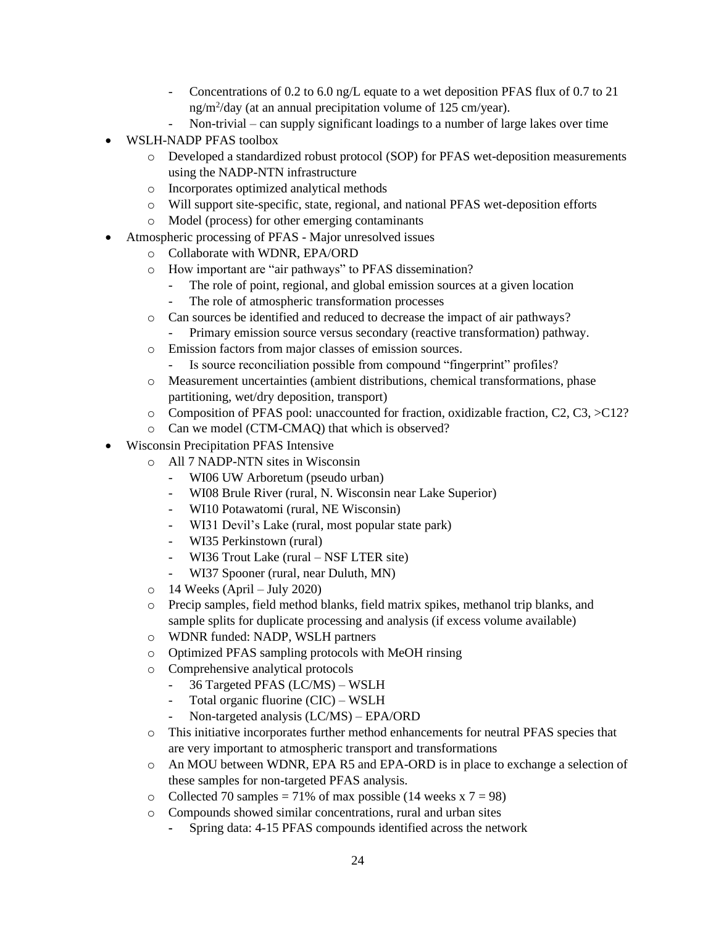- Concentrations of 0.2 to 6.0 ng/L equate to a wet deposition PFAS flux of 0.7 to 21 ng/m<sup>2</sup> /day (at an annual precipitation volume of 125 cm/year).
- Non-trivial can supply significant loadings to a number of large lakes over time
- WSLH-NADP PFAS toolbox
	- o Developed a standardized robust protocol (SOP) for PFAS wet-deposition measurements using the NADP-NTN infrastructure
	- o Incorporates optimized analytical methods
	- o Will support site-specific, state, regional, and national PFAS wet-deposition efforts
	- o Model (process) for other emerging contaminants
- Atmospheric processing of PFAS Major unresolved issues
	- o Collaborate with WDNR, EPA/ORD
	- o How important are "air pathways" to PFAS dissemination?
		- The role of point, regional, and global emission sources at a given location
		- The role of atmospheric transformation processes
	- o Can sources be identified and reduced to decrease the impact of air pathways?
		- Primary emission source versus secondary (reactive transformation) pathway.
	- o Emission factors from major classes of emission sources.
		- Is source reconciliation possible from compound "fingerprint" profiles?
	- o Measurement uncertainties (ambient distributions, chemical transformations, phase partitioning, wet/dry deposition, transport)
	- o Composition of PFAS pool: unaccounted for fraction, oxidizable fraction, C2, C3, >C12?
	- o Can we model (CTM-CMAQ) that which is observed?
- Wisconsin Precipitation PFAS Intensive
	- o All 7 NADP-NTN sites in Wisconsin
		- WI06 UW Arboretum (pseudo urban)
		- WI08 Brule River (rural, N. Wisconsin near Lake Superior)
		- WI10 Potawatomi (rural, NE Wisconsin)
		- WI31 Devil's Lake (rural, most popular state park)
		- WI35 Perkinstown (rural)
		- WI36 Trout Lake (rural NSF LTER site)
		- WI37 Spooner (rural, near Duluth, MN)
	- $\circ$  14 Weeks (April July 2020)
	- o Precip samples, field method blanks, field matrix spikes, methanol trip blanks, and sample splits for duplicate processing and analysis (if excess volume available)
	- o WDNR funded: NADP, WSLH partners
	- o Optimized PFAS sampling protocols with MeOH rinsing
	- o Comprehensive analytical protocols
		- 36 Targeted PFAS (LC/MS) WSLH
		- Total organic fluorine (CIC) WSLH
		- Non-targeted analysis (LC/MS) EPA/ORD
	- o This initiative incorporates further method enhancements for neutral PFAS species that are very important to atmospheric transport and transformations
	- o An MOU between WDNR, EPA R5 and EPA-ORD is in place to exchange a selection of these samples for non-targeted PFAS analysis.
	- o Collected 70 samples = 71% of max possible (14 weeks x  $7 = 98$ )
	- o Compounds showed similar concentrations, rural and urban sites
		- **-** Spring data: 4-15 PFAS compounds identified across the network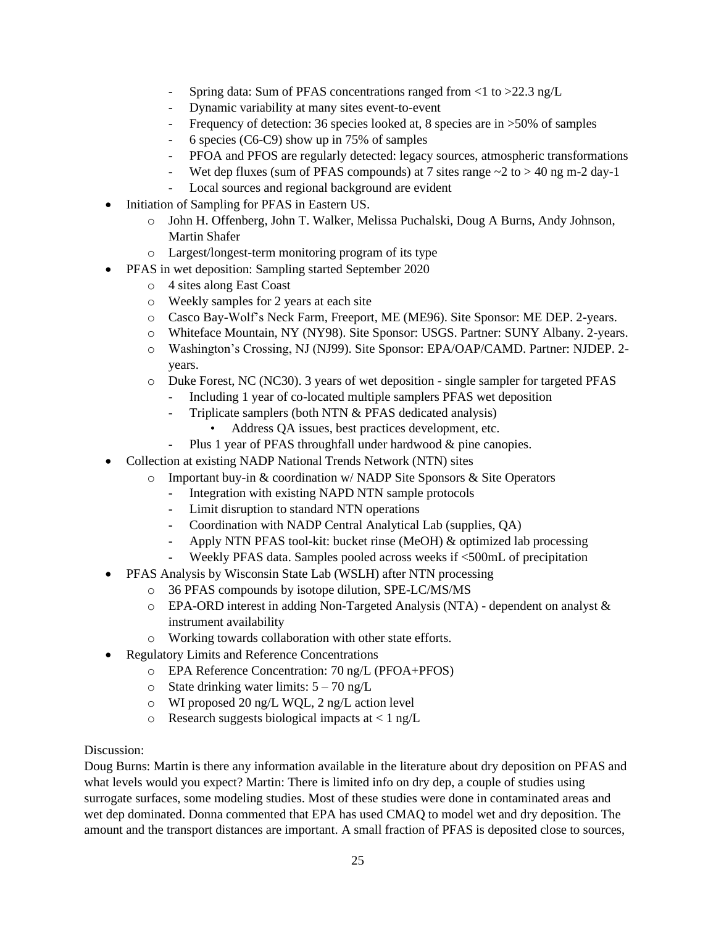- Spring data: Sum of PFAS concentrations ranged from <1 to >22.3 ng/L
- Dynamic variability at many sites event-to-event
- Frequency of detection: 36 species looked at, 8 species are in  $>50\%$  of samples
- 6 species (C6-C9) show up in 75% of samples
- PFOA and PFOS are regularly detected: legacy sources, atmospheric transformations
- Wet dep fluxes (sum of PFAS compounds) at 7 sites range  $\sim$  2 to  $>$  40 ng m-2 day-1
- Local sources and regional background are evident
- Initiation of Sampling for PFAS in Eastern US.
	- o John H. Offenberg, John T. Walker, Melissa Puchalski, Doug A Burns, Andy Johnson, Martin Shafer
	- o Largest/longest-term monitoring program of its type
- PFAS in wet deposition: Sampling started September 2020
	- o 4 sites along East Coast
	- o Weekly samples for 2 years at each site
	- o Casco Bay-Wolf's Neck Farm, Freeport, ME (ME96). Site Sponsor: ME DEP. 2-years.
	- o Whiteface Mountain, NY (NY98). Site Sponsor: USGS. Partner: SUNY Albany. 2-years.
	- o Washington's Crossing, NJ (NJ99). Site Sponsor: EPA/OAP/CAMD. Partner: NJDEP. 2 years.
	- o Duke Forest, NC (NC30). 3 years of wet deposition single sampler for targeted PFAS
		- Including 1 year of co-located multiple samplers PFAS wet deposition
		- Triplicate samplers (both NTN & PFAS dedicated analysis)
			- Address QA issues, best practices development, etc.
		- Plus 1 year of PFAS throughfall under hardwood & pine canopies.
- Collection at existing NADP National Trends Network (NTN) sites
	- $\circ$  Important buy-in & coordination w/NADP Site Sponsors & Site Operators
		- Integration with existing NAPD NTN sample protocols
		- Limit disruption to standard NTN operations
		- Coordination with NADP Central Analytical Lab (supplies, QA)
		- Apply NTN PFAS tool-kit: bucket rinse (MeOH) & optimized lab processing
		- Weekly PFAS data. Samples pooled across weeks if <500mL of precipitation
	- PFAS Analysis by Wisconsin State Lab (WSLH) after NTN processing
		- o 36 PFAS compounds by isotope dilution, SPE-LC/MS/MS
		- o EPA-ORD interest in adding Non-Targeted Analysis (NTA) dependent on analyst & instrument availability
		- o Working towards collaboration with other state efforts.
- Regulatory Limits and Reference Concentrations
	- o EPA Reference Concentration: 70 ng/L (PFOA+PFOS)
	- o State drinking water limits:  $5 70$  ng/L
	- o WI proposed 20 ng/L WQL, 2 ng/L action level
	- $\circ$  Research suggests biological impacts at < 1 ng/L

Doug Burns: Martin is there any information available in the literature about dry deposition on PFAS and what levels would you expect? Martin: There is limited info on dry dep, a couple of studies using surrogate surfaces, some modeling studies. Most of these studies were done in contaminated areas and wet dep dominated. Donna commented that EPA has used CMAQ to model wet and dry deposition. The amount and the transport distances are important. A small fraction of PFAS is deposited close to sources,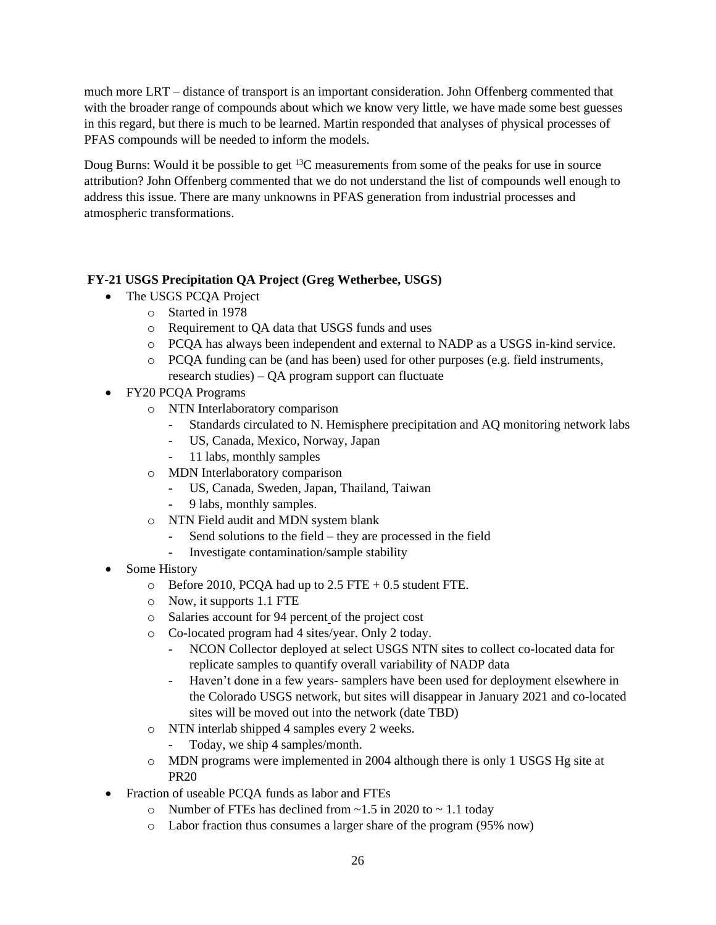much more LRT – distance of transport is an important consideration. John Offenberg commented that with the broader range of compounds about which we know very little, we have made some best guesses in this regard, but there is much to be learned. Martin responded that analyses of physical processes of PFAS compounds will be needed to inform the models.

Doug Burns: Would it be possible to get <sup>13</sup>C measurements from some of the peaks for use in source attribution? John Offenberg commented that we do not understand the list of compounds well enough to address this issue. There are many unknowns in PFAS generation from industrial processes and atmospheric transformations.

## **FY-21 USGS Precipitation QA Project (Greg Wetherbee, USGS)**

- The USGS PCQA Project
	- o Started in 1978
	- o Requirement to QA data that USGS funds and uses
	- o PCQA has always been independent and external to NADP as a USGS in-kind service.
	- o PCQA funding can be (and has been) used for other purposes (e.g. field instruments, research studies) – QA program support can fluctuate
- FY20 PCQA Programs
	- o NTN Interlaboratory comparison
		- Standards circulated to N. Hemisphere precipitation and AQ monitoring network labs
		- US, Canada, Mexico, Norway, Japan
		- 11 labs, monthly samples
	- o MDN Interlaboratory comparison
		- US, Canada, Sweden, Japan, Thailand, Taiwan
		- 9 labs, monthly samples.
	- o NTN Field audit and MDN system blank
		- Send solutions to the field they are processed in the field
		- Investigate contamination/sample stability
- Some History
	- $\circ$  Before 2010, PCQA had up to 2.5 FTE + 0.5 student FTE.
	- o Now, it supports 1.1 FTE
	- o Salaries account for 94 percent of the project cost
	- o Co-located program had 4 sites/year. Only 2 today.
		- NCON Collector deployed at select USGS NTN sites to collect co-located data for replicate samples to quantify overall variability of NADP data
		- Haven't done in a few years- samplers have been used for deployment elsewhere in the Colorado USGS network, but sites will disappear in January 2021 and co-located sites will be moved out into the network (date TBD)
	- o NTN interlab shipped 4 samples every 2 weeks.
		- Today, we ship 4 samples/month.
	- o MDN programs were implemented in 2004 although there is only 1 USGS Hg site at PR20
- Fraction of useable PCQA funds as labor and FTEs
	- $\circ$  Number of FTEs has declined from ~1.5 in 2020 to ~ 1.1 today
	- o Labor fraction thus consumes a larger share of the program (95% now)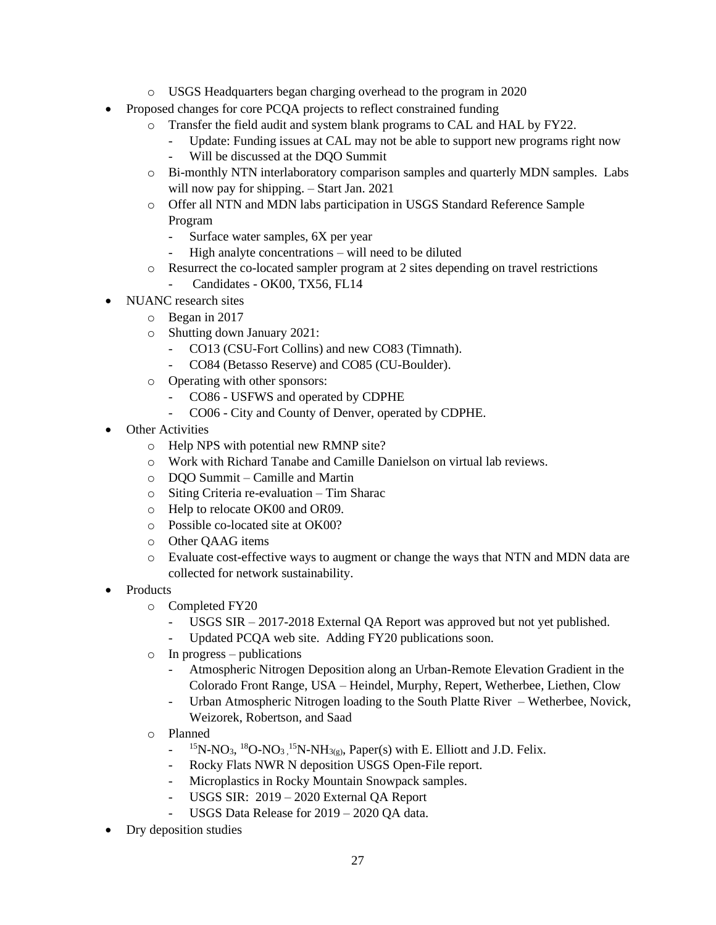- o USGS Headquarters began charging overhead to the program in 2020
- Proposed changes for core PCQA projects to reflect constrained funding
	- o Transfer the field audit and system blank programs to CAL and HAL by FY22.
		- Update: Funding issues at CAL may not be able to support new programs right now
		- Will be discussed at the DQO Summit
	- o Bi-monthly NTN interlaboratory comparison samples and quarterly MDN samples. Labs will now pay for shipping. – Start Jan. 2021
	- o Offer all NTN and MDN labs participation in USGS Standard Reference Sample Program
		- Surface water samples, 6X per year
		- High analyte concentrations will need to be diluted
	- $\circ$  Resurrect the co-located sampler program at 2 sites depending on travel restrictions Candidates - OK00, TX56, FL14
- NUANC research sites
	- o Began in 2017
	- o Shutting down January 2021:
		- CO13 (CSU-Fort Collins) and new CO83 (Timnath).
		- CO84 (Betasso Reserve) and CO85 (CU-Boulder).
	- o Operating with other sponsors:
		- CO86 USFWS and operated by CDPHE
		- CO06 City and County of Denver, operated by CDPHE.
- **Other Activities** 
	- o Help NPS with potential new RMNP site?
	- o Work with Richard Tanabe and Camille Danielson on virtual lab reviews.
	- o DQO Summit Camille and Martin
	- o Siting Criteria re-evaluation Tim Sharac
	- o Help to relocate OK00 and OR09.
	- o Possible co-located site at OK00?
	- o Other QAAG items
	- o Evaluate cost-effective ways to augment or change the ways that NTN and MDN data are collected for network sustainability.
- Products
	- o Completed FY20
		- USGS SIR 2017-2018 External QA Report was approved but not yet published.
		- Updated PCQA web site. Adding FY20 publications soon.
	- o In progress publications
		- Atmospheric Nitrogen Deposition along an Urban-Remote Elevation Gradient in the Colorado Front Range, USA – Heindel, Murphy, Repert, Wetherbee, Liethen, Clow
		- Urban Atmospheric Nitrogen loading to the South Platte River Wetherbee, Novick, Weizorek, Robertson, and Saad
	- o Planned
		- $15N-NO<sub>3</sub>$ ,  ${}^{18}O-NO<sub>3</sub>$ ,  ${}^{15}N-NH<sub>3(g)</sub>$ , Paper(s) with E. Elliott and J.D. Felix.
		- Rocky Flats NWR N deposition USGS Open-File report.
		- Microplastics in Rocky Mountain Snowpack samples.
		- USGS SIR: 2019 2020 External QA Report
		- USGS Data Release for 2019 2020 QA data.
- Dry deposition studies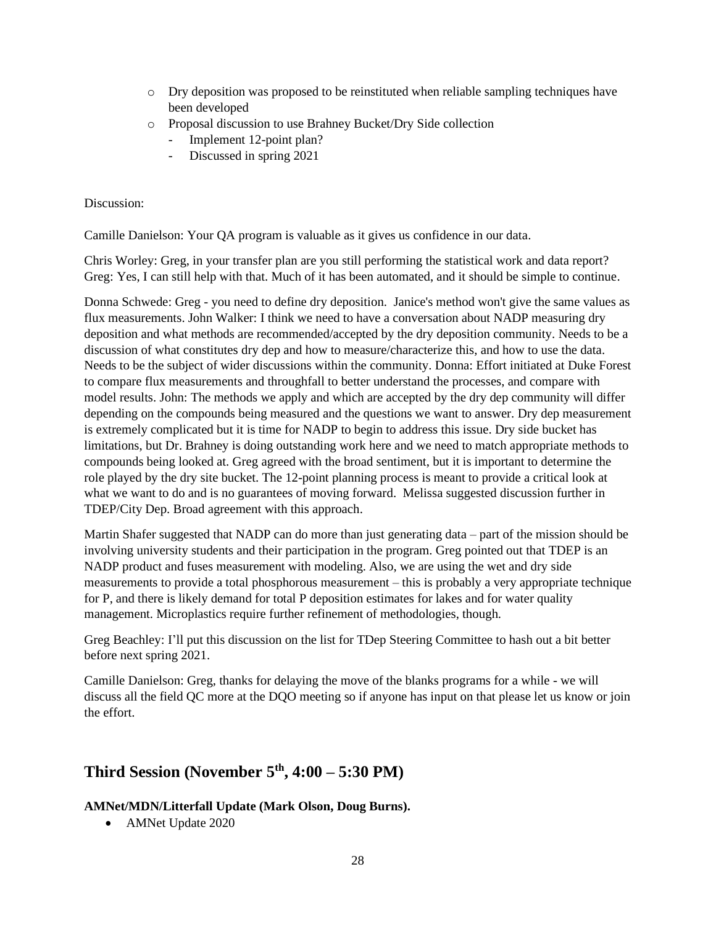- o Dry deposition was proposed to be reinstituted when reliable sampling techniques have been developed
- o Proposal discussion to use Brahney Bucket/Dry Side collection
	- Implement 12-point plan?
	- Discussed in spring 2021

Camille Danielson: Your QA program is valuable as it gives us confidence in our data.

Chris Worley: Greg, in your transfer plan are you still performing the statistical work and data report? Greg: Yes, I can still help with that. Much of it has been automated, and it should be simple to continue.

Donna Schwede: Greg - you need to define dry deposition. Janice's method won't give the same values as flux measurements. John Walker: I think we need to have a conversation about NADP measuring dry deposition and what methods are recommended/accepted by the dry deposition community. Needs to be a discussion of what constitutes dry dep and how to measure/characterize this, and how to use the data. Needs to be the subject of wider discussions within the community. Donna: Effort initiated at Duke Forest to compare flux measurements and throughfall to better understand the processes, and compare with model results. John: The methods we apply and which are accepted by the dry dep community will differ depending on the compounds being measured and the questions we want to answer. Dry dep measurement is extremely complicated but it is time for NADP to begin to address this issue. Dry side bucket has limitations, but Dr. Brahney is doing outstanding work here and we need to match appropriate methods to compounds being looked at. Greg agreed with the broad sentiment, but it is important to determine the role played by the dry site bucket. The 12-point planning process is meant to provide a critical look at what we want to do and is no guarantees of moving forward. Melissa suggested discussion further in TDEP/City Dep. Broad agreement with this approach.

Martin Shafer suggested that NADP can do more than just generating data – part of the mission should be involving university students and their participation in the program. Greg pointed out that TDEP is an NADP product and fuses measurement with modeling. Also, we are using the wet and dry side measurements to provide a total phosphorous measurement – this is probably a very appropriate technique for P, and there is likely demand for total P deposition estimates for lakes and for water quality management. Microplastics require further refinement of methodologies, though.

Greg Beachley: I'll put this discussion on the list for TDep Steering Committee to hash out a bit better before next spring 2021.

Camille Danielson: Greg, thanks for delaying the move of the blanks programs for a while - we will discuss all the field QC more at the DQO meeting so if anyone has input on that please let us know or join the effort.

## **Third Session (November 5th, 4:00 – 5:30 PM)**

## **AMNet/MDN/Litterfall Update (Mark Olson, Doug Burns).**

• AMNet Update 2020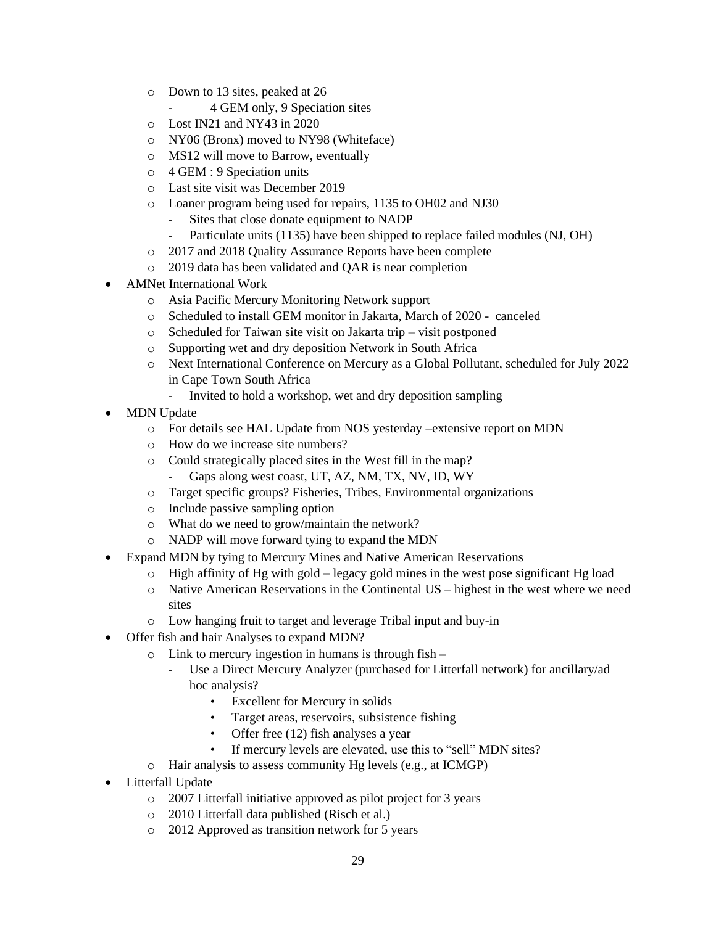- o Down to 13 sites, peaked at 26
	- 4 GEM only, 9 Speciation sites
- o Lost IN21 and NY43 in 2020
- o NY06 (Bronx) moved to NY98 (Whiteface)
- o MS12 will move to Barrow, eventually
- o 4 GEM : 9 Speciation units
- o Last site visit was December 2019
- o Loaner program being used for repairs, 1135 to OH02 and NJ30
	- Sites that close donate equipment to NADP
	- Particulate units (1135) have been shipped to replace failed modules (NJ, OH)
- o 2017 and 2018 Quality Assurance Reports have been complete
- o 2019 data has been validated and QAR is near completion
- AMNet International Work
	- o Asia Pacific Mercury Monitoring Network support
	- o Scheduled to install GEM monitor in Jakarta, March of 2020 canceled
	- o Scheduled for Taiwan site visit on Jakarta trip visit postponed
	- o Supporting wet and dry deposition Network in South Africa
	- o Next International Conference on Mercury as a Global Pollutant, scheduled for July 2022 in Cape Town South Africa
		- Invited to hold a workshop, wet and dry deposition sampling
- **MDN** Update
	- o For details see HAL Update from NOS yesterday –extensive report on MDN
	- o How do we increase site numbers?
	- o Could strategically placed sites in the West fill in the map?
		- Gaps along west coast, UT, AZ, NM, TX, NV, ID, WY
	- o Target specific groups? Fisheries, Tribes, Environmental organizations
	- o Include passive sampling option
	- o What do we need to grow/maintain the network?
	- o NADP will move forward tying to expand the MDN
- Expand MDN by tying to Mercury Mines and Native American Reservations
	- $\circ$  High affinity of Hg with gold legacy gold mines in the west pose significant Hg load
	- $\circ$  Native American Reservations in the Continental US highest in the west where we need sites
	- o Low hanging fruit to target and leverage Tribal input and buy-in
- Offer fish and hair Analyses to expand MDN?
	- $\circ$  Link to mercury ingestion in humans is through fish
		- Use a Direct Mercury Analyzer (purchased for Litterfall network) for ancillary/ad hoc analysis?
			- Excellent for Mercury in solids
			- Target areas, reservoirs, subsistence fishing
			- Offer free (12) fish analyses a year
			- If mercury levels are elevated, use this to "sell" MDN sites?
	- o Hair analysis to assess community Hg levels (e.g., at ICMGP)
- Litterfall Update
	- o 2007 Litterfall initiative approved as pilot project for 3 years
	- o 2010 Litterfall data published (Risch et al.)
	- o 2012 Approved as transition network for 5 years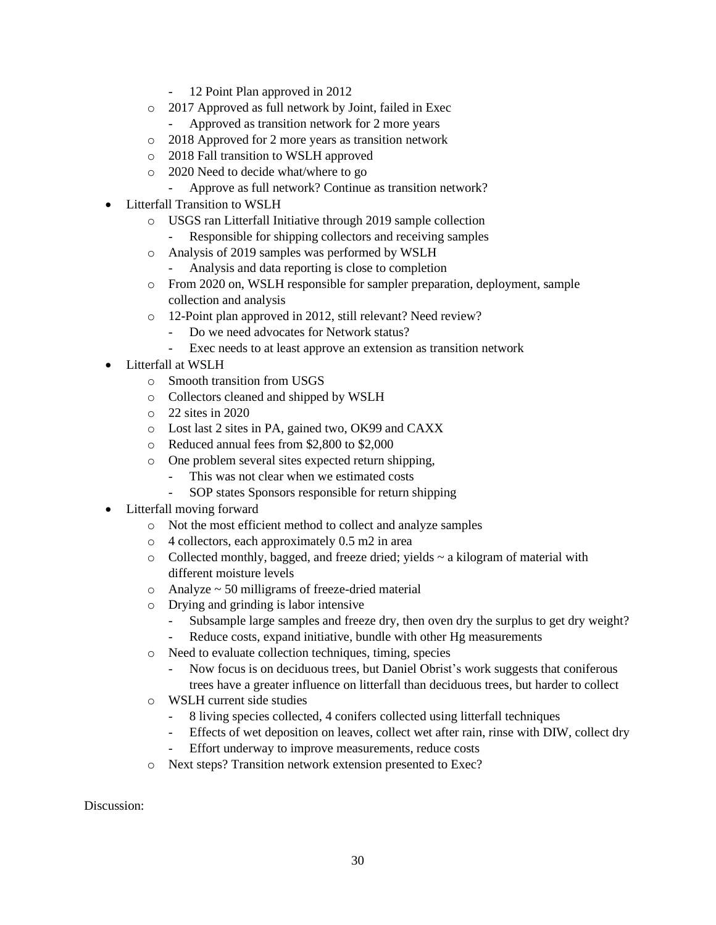- 12 Point Plan approved in 2012
- o 2017 Approved as full network by Joint, failed in Exec
	- Approved as transition network for 2 more years
- o 2018 Approved for 2 more years as transition network
- o 2018 Fall transition to WSLH approved
- o 2020 Need to decide what/where to go
	- Approve as full network? Continue as transition network?
- Litterfall Transition to WSLH
	- o USGS ran Litterfall Initiative through 2019 sample collection
		- Responsible for shipping collectors and receiving samples
	- o Analysis of 2019 samples was performed by WSLH
		- Analysis and data reporting is close to completion
	- o From 2020 on, WSLH responsible for sampler preparation, deployment, sample collection and analysis
	- o 12-Point plan approved in 2012, still relevant? Need review?
		- Do we need advocates for Network status?
		- Exec needs to at least approve an extension as transition network
- Litterfall at WSLH
	- o Smooth transition from USGS
	- o Collectors cleaned and shipped by WSLH
	- $\circ$  22 sites in 2020
	- o Lost last 2 sites in PA, gained two, OK99 and CAXX
	- o Reduced annual fees from \$2,800 to \$2,000
	- o One problem several sites expected return shipping,
		- This was not clear when we estimated costs
		- SOP states Sponsors responsible for return shipping
- Litterfall moving forward
	- o Not the most efficient method to collect and analyze samples
	- o 4 collectors, each approximately 0.5 m2 in area
	- $\circ$  Collected monthly, bagged, and freeze dried; yields  $\sim$  a kilogram of material with different moisture levels
	- $\circ$  Analyze  $\sim$  50 milligrams of freeze-dried material
	- o Drying and grinding is labor intensive
		- Subsample large samples and freeze dry, then oven dry the surplus to get dry weight?
		- Reduce costs, expand initiative, bundle with other Hg measurements
	- o Need to evaluate collection techniques, timing, species
		- Now focus is on deciduous trees, but Daniel Obrist's work suggests that coniferous trees have a greater influence on litterfall than deciduous trees, but harder to collect
	- o WSLH current side studies
		- 8 living species collected, 4 conifers collected using litterfall techniques
		- Effects of wet deposition on leaves, collect wet after rain, rinse with DIW, collect dry
		- Effort underway to improve measurements, reduce costs
	- o Next steps? Transition network extension presented to Exec?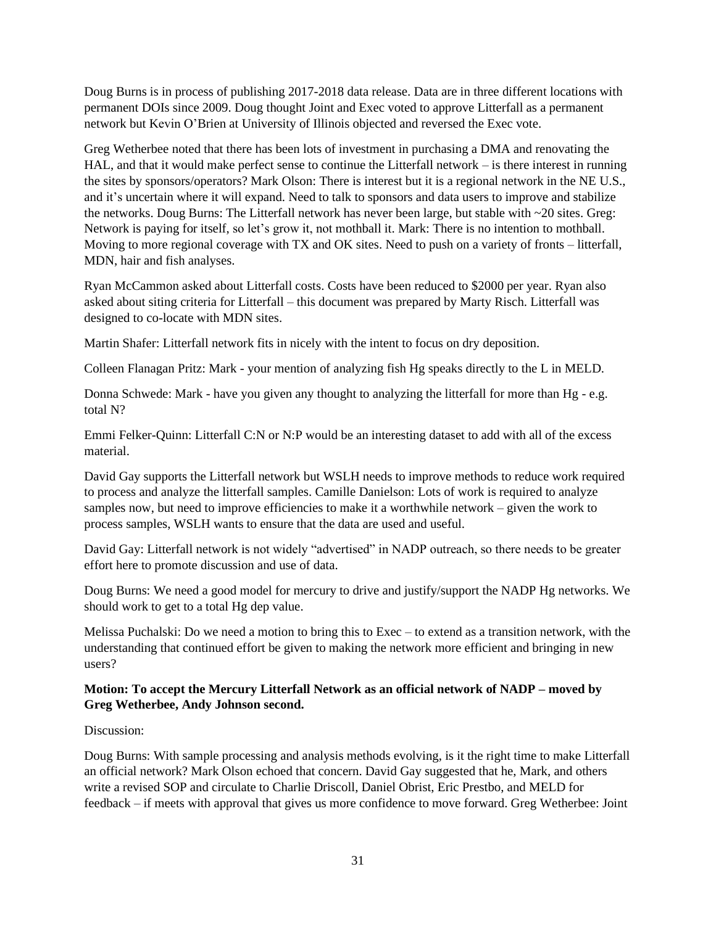Doug Burns is in process of publishing 2017-2018 data release. Data are in three different locations with permanent DOIs since 2009. Doug thought Joint and Exec voted to approve Litterfall as a permanent network but Kevin O'Brien at University of Illinois objected and reversed the Exec vote.

Greg Wetherbee noted that there has been lots of investment in purchasing a DMA and renovating the HAL, and that it would make perfect sense to continue the Litterfall network – is there interest in running the sites by sponsors/operators? Mark Olson: There is interest but it is a regional network in the NE U.S., and it's uncertain where it will expand. Need to talk to sponsors and data users to improve and stabilize the networks. Doug Burns: The Litterfall network has never been large, but stable with ~20 sites. Greg: Network is paying for itself, so let's grow it, not mothball it. Mark: There is no intention to mothball. Moving to more regional coverage with TX and OK sites. Need to push on a variety of fronts – litterfall, MDN, hair and fish analyses.

Ryan McCammon asked about Litterfall costs. Costs have been reduced to \$2000 per year. Ryan also asked about siting criteria for Litterfall – this document was prepared by Marty Risch. Litterfall was designed to co-locate with MDN sites.

Martin Shafer: Litterfall network fits in nicely with the intent to focus on dry deposition.

Colleen Flanagan Pritz: Mark - your mention of analyzing fish Hg speaks directly to the L in MELD.

Donna Schwede: Mark - have you given any thought to analyzing the litterfall for more than Hg - e.g. total N?

Emmi Felker-Quinn: Litterfall C:N or N:P would be an interesting dataset to add with all of the excess material.

David Gay supports the Litterfall network but WSLH needs to improve methods to reduce work required to process and analyze the litterfall samples. Camille Danielson: Lots of work is required to analyze samples now, but need to improve efficiencies to make it a worthwhile network – given the work to process samples, WSLH wants to ensure that the data are used and useful.

David Gay: Litterfall network is not widely "advertised" in NADP outreach, so there needs to be greater effort here to promote discussion and use of data.

Doug Burns: We need a good model for mercury to drive and justify/support the NADP Hg networks. We should work to get to a total Hg dep value.

Melissa Puchalski: Do we need a motion to bring this to Exec – to extend as a transition network, with the understanding that continued effort be given to making the network more efficient and bringing in new users?

## **Motion: To accept the Mercury Litterfall Network as an official network of NADP – moved by Greg Wetherbee, Andy Johnson second.**

#### Discussion:

Doug Burns: With sample processing and analysis methods evolving, is it the right time to make Litterfall an official network? Mark Olson echoed that concern. David Gay suggested that he, Mark, and others write a revised SOP and circulate to Charlie Driscoll, Daniel Obrist, Eric Prestbo, and MELD for feedback – if meets with approval that gives us more confidence to move forward. Greg Wetherbee: Joint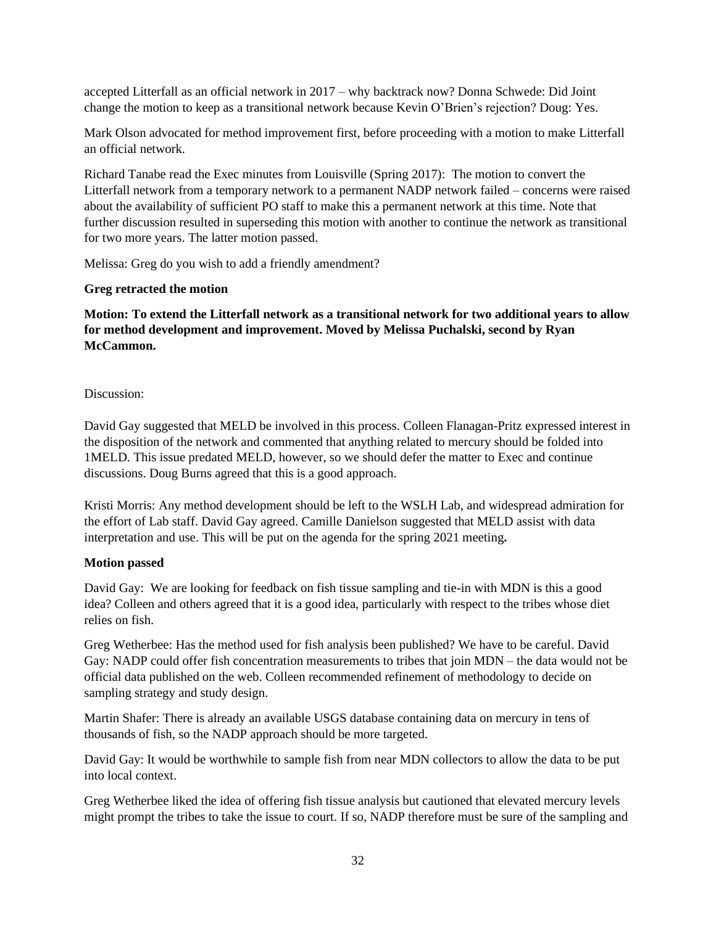accepted Litterfall as an official network in 2017 – why backtrack now? Donna Schwede: Did Joint change the motion to keep as a transitional network because Kevin O'Brien's rejection? Doug: Yes.

Mark Olson advocated for method improvement first, before proceeding with a motion to make Litterfall an official network.

Richard Tanabe read the Exec minutes from Louisville (Spring 2017): The motion to convert the Litterfall network from a temporary network to a permanent NADP network failed – concerns were raised about the availability of sufficient PO staff to make this a permanent network at this time. Note that further discussion resulted in superseding this motion with another to continue the network as transitional for two more years. The latter motion passed.

Melissa: Greg do you wish to add a friendly amendment?

#### **Greg retracted the motion**

**Motion: To extend the Litterfall network as a transitional network for two additional years to allow for method development and improvement. Moved by Melissa Puchalski, second by Ryan McCammon.**

#### Discussion:

David Gay suggested that MELD be involved in this process. Colleen Flanagan-Pritz expressed interest in the disposition of the network and commented that anything related to mercury should be folded into 1MELD. This issue predated MELD, however, so we should defer the matter to Exec and continue discussions. Doug Burns agreed that this is a good approach.

Kristi Morris: Any method development should be left to the WSLH Lab, and widespread admiration for the effort of Lab staff. David Gay agreed. Camille Danielson suggested that MELD assist with data interpretation and use. This will be put on the agenda for the spring 2021 meeting**.**

#### **Motion passed**

David Gay: We are looking for feedback on fish tissue sampling and tie-in with MDN is this a good idea? Colleen and others agreed that it is a good idea, particularly with respect to the tribes whose diet relies on fish.

Greg Wetherbee: Has the method used for fish analysis been published? We have to be careful. David Gay: NADP could offer fish concentration measurements to tribes that join MDN – the data would not be official data published on the web. Colleen recommended refinement of methodology to decide on sampling strategy and study design.

Martin Shafer: There is already an available USGS database containing data on mercury in tens of thousands of fish, so the NADP approach should be more targeted.

David Gay: It would be worthwhile to sample fish from near MDN collectors to allow the data to be put into local context.

Greg Wetherbee liked the idea of offering fish tissue analysis but cautioned that elevated mercury levels might prompt the tribes to take the issue to court. If so, NADP therefore must be sure of the sampling and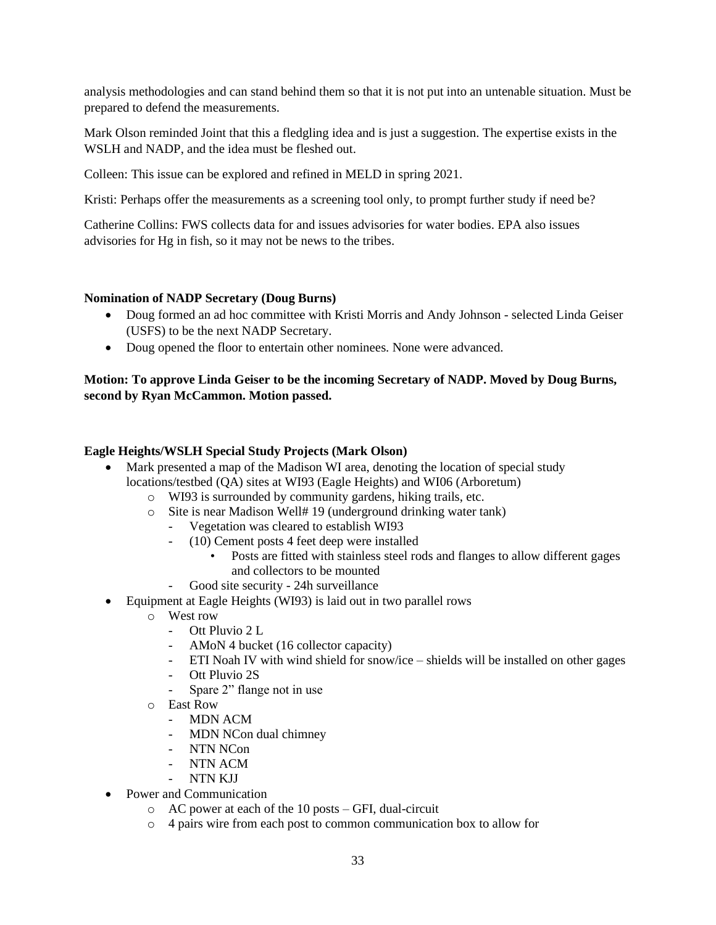analysis methodologies and can stand behind them so that it is not put into an untenable situation. Must be prepared to defend the measurements.

Mark Olson reminded Joint that this a fledgling idea and is just a suggestion. The expertise exists in the WSLH and NADP, and the idea must be fleshed out.

Colleen: This issue can be explored and refined in MELD in spring 2021.

Kristi: Perhaps offer the measurements as a screening tool only, to prompt further study if need be?

Catherine Collins: FWS collects data for and issues advisories for water bodies. EPA also issues advisories for Hg in fish, so it may not be news to the tribes.

### **Nomination of NADP Secretary (Doug Burns)**

- Doug formed an ad hoc committee with Kristi Morris and Andy Johnson selected Linda Geiser (USFS) to be the next NADP Secretary.
- Doug opened the floor to entertain other nominees. None were advanced.

## **Motion: To approve Linda Geiser to be the incoming Secretary of NADP. Moved by Doug Burns, second by Ryan McCammon. Motion passed.**

### **Eagle Heights/WSLH Special Study Projects (Mark Olson)**

- Mark presented a map of the Madison WI area, denoting the location of special study locations/testbed (QA) sites at WI93 (Eagle Heights) and WI06 (Arboretum)
	- o WI93 is surrounded by community gardens, hiking trails, etc.
	- o Site is near Madison Well# 19 (underground drinking water tank)
		- Vegetation was cleared to establish WI93
		- (10) Cement posts 4 feet deep were installed
			- Posts are fitted with stainless steel rods and flanges to allow different gages and collectors to be mounted
		- Good site security 24h surveillance
- Equipment at Eagle Heights (WI93) is laid out in two parallel rows
	- o West row
		- Ott Pluvio 2 L
		- AMoN 4 bucket (16 collector capacity)
		- ETI Noah IV with wind shield for snow/ice shields will be installed on other gages
		- Ott Pluvio 2S
		- Spare 2" flange not in use
	- o East Row
		- MDN ACM
		- MDN NCon dual chimney
		- NTN NCon
		- NTN ACM
		- NTN KIJ
- Power and Communication
	- o AC power at each of the 10 posts GFI, dual-circuit
	- o 4 pairs wire from each post to common communication box to allow for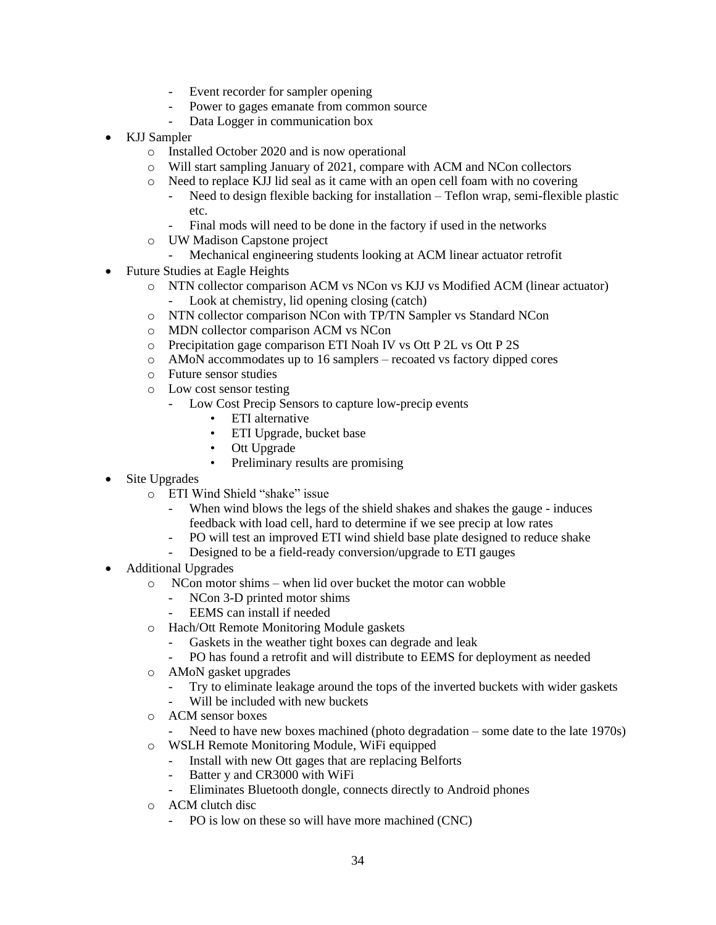- Event recorder for sampler opening
- Power to gages emanate from common source
- Data Logger in communication box
- KJJ Sampler
	- o Installed October 2020 and is now operational
	- o Will start sampling January of 2021, compare with ACM and NCon collectors
	- o Need to replace KJJ lid seal as it came with an open cell foam with no covering
		- Need to design flexible backing for installation Teflon wrap, semi-flexible plastic etc.
		- Final mods will need to be done in the factory if used in the networks
	- o UW Madison Capstone project
		- Mechanical engineering students looking at ACM linear actuator retrofit
- Future Studies at Eagle Heights
	- o NTN collector comparison ACM vs NCon vs KJJ vs Modified ACM (linear actuator)
		- Look at chemistry, lid opening closing (catch)
	- o NTN collector comparison NCon with TP/TN Sampler vs Standard NCon
	- o MDN collector comparison ACM vs NCon
	- o Precipitation gage comparison ETI Noah IV vs Ott P 2L vs Ott P 2S
	- o AMoN accommodates up to 16 samplers recoated vs factory dipped cores
	- o Future sensor studies
	- o Low cost sensor testing
		- Low Cost Precip Sensors to capture low-precip events
			- ETI alternative
			- ETI Upgrade, bucket base
			- Ott Upgrade
			- Preliminary results are promising
- Site Upgrades
	- o ETI Wind Shield "shake" issue
		- When wind blows the legs of the shield shakes and shakes the gauge induces feedback with load cell, hard to determine if we see precip at low rates
		- PO will test an improved ETI wind shield base plate designed to reduce shake
		- Designed to be a field-ready conversion/upgrade to ETI gauges
- Additional Upgrades
	- o NCon motor shims when lid over bucket the motor can wobble
		- NCon 3-D printed motor shims
		- EEMS can install if needed
	- o Hach/Ott Remote Monitoring Module gaskets
		- Gaskets in the weather tight boxes can degrade and leak
		- PO has found a retrofit and will distribute to EEMS for deployment as needed
	- o AMoN gasket upgrades
		- Try to eliminate leakage around the tops of the inverted buckets with wider gaskets
		- Will be included with new buckets
	- o ACM sensor boxes
	- Need to have new boxes machined (photo degradation some date to the late 1970s)
	- o WSLH Remote Monitoring Module, WiFi equipped
		- Install with new Ott gages that are replacing Belforts
		- Batter y and CR3000 with WiFi
		- Eliminates Bluetooth dongle, connects directly to Android phones
	- o ACM clutch disc
		- PO is low on these so will have more machined (CNC)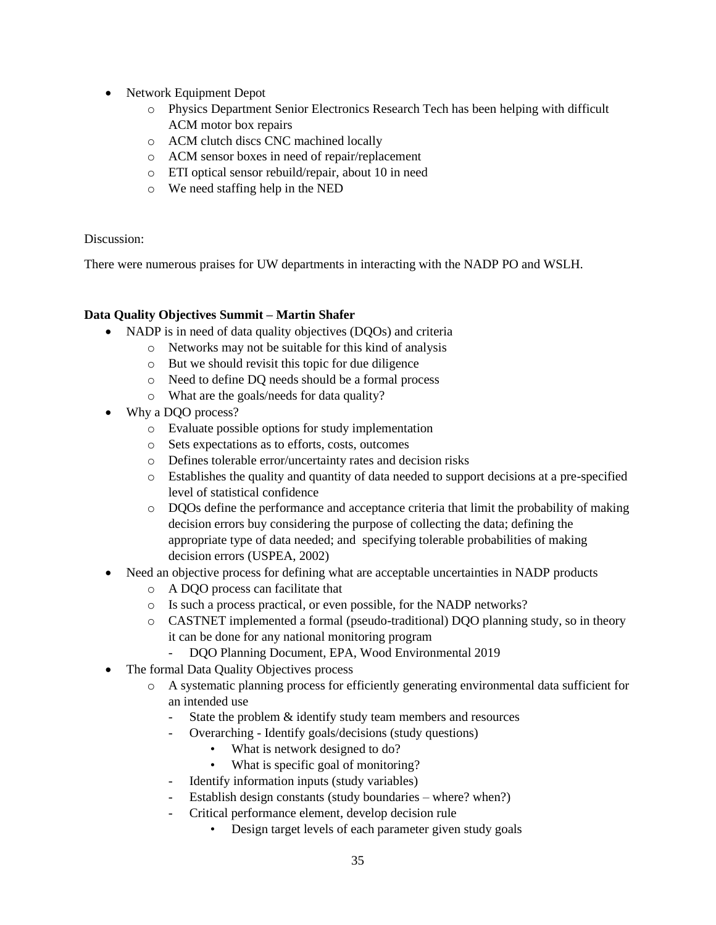- Network Equipment Depot
	- o Physics Department Senior Electronics Research Tech has been helping with difficult ACM motor box repairs
	- o ACM clutch discs CNC machined locally
	- o ACM sensor boxes in need of repair/replacement
	- o ETI optical sensor rebuild/repair, about 10 in need
	- o We need staffing help in the NED

There were numerous praises for UW departments in interacting with the NADP PO and WSLH.

## **Data Quality Objectives Summit – Martin Shafer**

- NADP is in need of data quality objectives (DQOs) and criteria
	- o Networks may not be suitable for this kind of analysis
	- o But we should revisit this topic for due diligence
	- o Need to define DQ needs should be a formal process
	- o What are the goals/needs for data quality?
- Why a DOO process?
	- o Evaluate possible options for study implementation
	- o Sets expectations as to efforts, costs, outcomes
	- o Defines tolerable error/uncertainty rates and decision risks
	- o Establishes the quality and quantity of data needed to support decisions at a pre-specified level of statistical confidence
	- o DQOs define the performance and acceptance criteria that limit the probability of making decision errors buy considering the purpose of collecting the data; defining the appropriate type of data needed; and specifying tolerable probabilities of making decision errors (USPEA, 2002)
- Need an objective process for defining what are acceptable uncertainties in NADP products
	- o A DQO process can facilitate that
	- o Is such a process practical, or even possible, for the NADP networks?
	- o CASTNET implemented a formal (pseudo-traditional) DQO planning study, so in theory it can be done for any national monitoring program
		- DQO Planning Document, EPA, Wood Environmental 2019
- The formal Data Quality Objectives process
	- o A systematic planning process for efficiently generating environmental data sufficient for an intended use
		- State the problem & identify study team members and resources
		- Overarching Identify goals/decisions (study questions)
			- What is network designed to do?
			- What is specific goal of monitoring?
		- Identify information inputs (study variables)
		- Establish design constants (study boundaries where? when?)
		- Critical performance element, develop decision rule
			- Design target levels of each parameter given study goals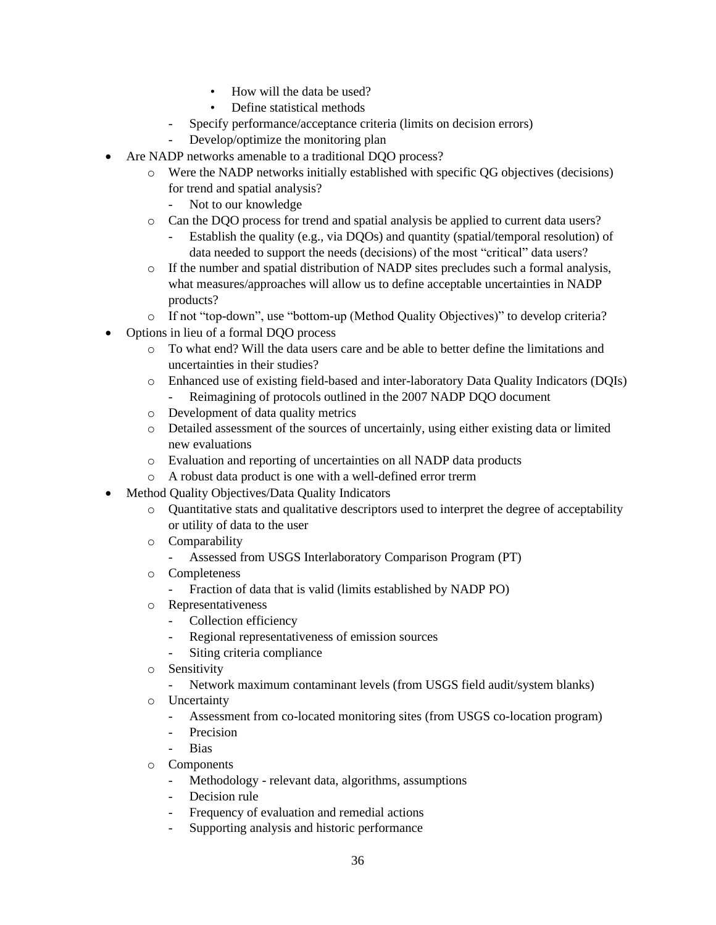- How will the data be used?
- Define statistical methods
- Specify performance/acceptance criteria (limits on decision errors)
- Develop/optimize the monitoring plan
- Are NADP networks amenable to a traditional DQO process?
	- o Were the NADP networks initially established with specific QG objectives (decisions) for trend and spatial analysis?
		- Not to our knowledge
	- o Can the DQO process for trend and spatial analysis be applied to current data users?
		- Establish the quality (e.g., via DQOs) and quantity (spatial/temporal resolution) of data needed to support the needs (decisions) of the most "critical" data users?
	- $\circ$  If the number and spatial distribution of NADP sites precludes such a formal analysis, what measures/approaches will allow us to define acceptable uncertainties in NADP products?
	- o If not "top-down", use "bottom-up (Method Quality Objectives)" to develop criteria?
- Options in lieu of a formal DQO process
	- o To what end? Will the data users care and be able to better define the limitations and uncertainties in their studies?
	- o Enhanced use of existing field-based and inter-laboratory Data Quality Indicators (DQIs)
		- Reimagining of protocols outlined in the 2007 NADP DQO document
	- o Development of data quality metrics
	- o Detailed assessment of the sources of uncertainly, using either existing data or limited new evaluations
	- o Evaluation and reporting of uncertainties on all NADP data products
	- o A robust data product is one with a well-defined error trerm
- Method Quality Objectives/Data Quality Indicators
	- o Quantitative stats and qualitative descriptors used to interpret the degree of acceptability or utility of data to the user
	- o Comparability
		- Assessed from USGS Interlaboratory Comparison Program (PT)
	- o Completeness
		- Fraction of data that is valid (limits established by NADP PO)
	- o Representativeness
		- Collection efficiency
		- Regional representativeness of emission sources
		- Siting criteria compliance
	- o Sensitivity
		- Network maximum contaminant levels (from USGS field audit/system blanks)
	- o Uncertainty
		- Assessment from co-located monitoring sites (from USGS co-location program)
		- Precision
		- Bias
	- o Components
		- Methodology relevant data, algorithms, assumptions
		- Decision rule
		- Frequency of evaluation and remedial actions
		- Supporting analysis and historic performance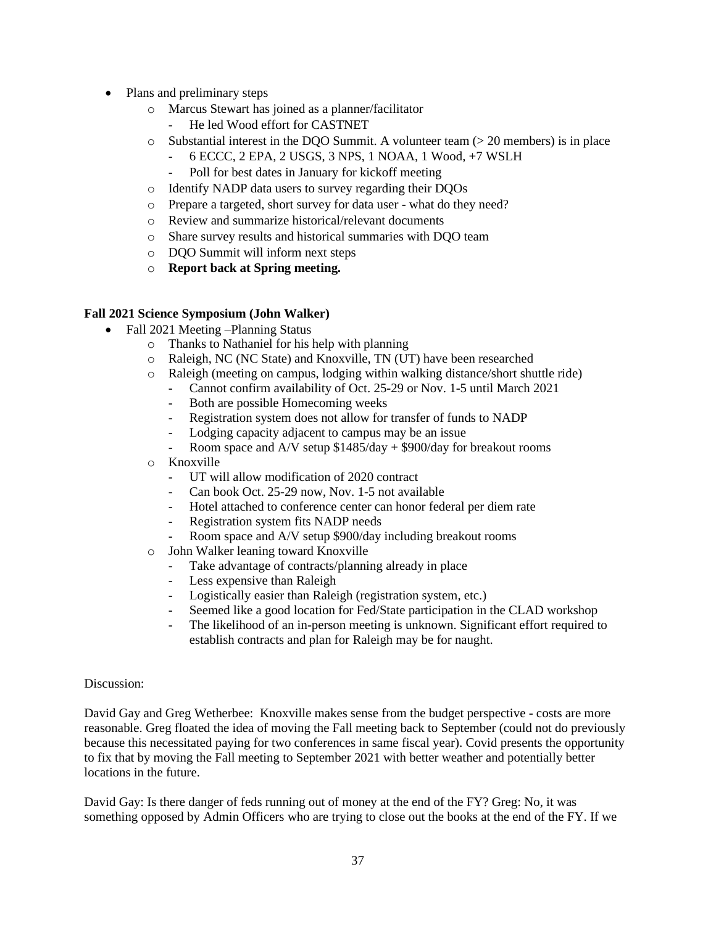- Plans and preliminary steps
	- o Marcus Stewart has joined as a planner/facilitator
		- He led Wood effort for CASTNET
	- $\circ$  Substantial interest in the DQO Summit. A volunteer team ( $>$  20 members) is in place
		- 6 ECCC, 2 EPA, 2 USGS, 3 NPS, 1 NOAA, 1 Wood, +7 WSLH
			- Poll for best dates in January for kickoff meeting
	- o Identify NADP data users to survey regarding their DQOs
	- o Prepare a targeted, short survey for data user what do they need?
	- o Review and summarize historical/relevant documents
	- o Share survey results and historical summaries with DQO team
	- o DQO Summit will inform next steps
	- o **Report back at Spring meeting.**

### **Fall 2021 Science Symposium (John Walker)**

- Fall 2021 Meeting –Planning Status
	- o Thanks to Nathaniel for his help with planning
	- o Raleigh, NC (NC State) and Knoxville, TN (UT) have been researched
	- o Raleigh (meeting on campus, lodging within walking distance/short shuttle ride)
		- Cannot confirm availability of Oct. 25-29 or Nov. 1-5 until March 2021
		- Both are possible Homecoming weeks
		- Registration system does not allow for transfer of funds to NADP
		- Lodging capacity adjacent to campus may be an issue
		- Room space and A/V setup \$1485/day + \$900/day for breakout rooms
	- o Knoxville
		- UT will allow modification of 2020 contract
		- Can book Oct. 25-29 now, Nov. 1-5 not available
		- Hotel attached to conference center can honor federal per diem rate
		- Registration system fits NADP needs
		- Room space and A/V setup \$900/day including breakout rooms
	- o John Walker leaning toward Knoxville
		- Take advantage of contracts/planning already in place
		- Less expensive than Raleigh
		- Logistically easier than Raleigh (registration system, etc.)
		- Seemed like a good location for Fed/State participation in the CLAD workshop
		- The likelihood of an in-person meeting is unknown. Significant effort required to establish contracts and plan for Raleigh may be for naught.

#### Discussion:

David Gay and Greg Wetherbee: Knoxville makes sense from the budget perspective - costs are more reasonable. Greg floated the idea of moving the Fall meeting back to September (could not do previously because this necessitated paying for two conferences in same fiscal year). Covid presents the opportunity to fix that by moving the Fall meeting to September 2021 with better weather and potentially better locations in the future.

David Gay: Is there danger of feds running out of money at the end of the FY? Greg: No, it was something opposed by Admin Officers who are trying to close out the books at the end of the FY. If we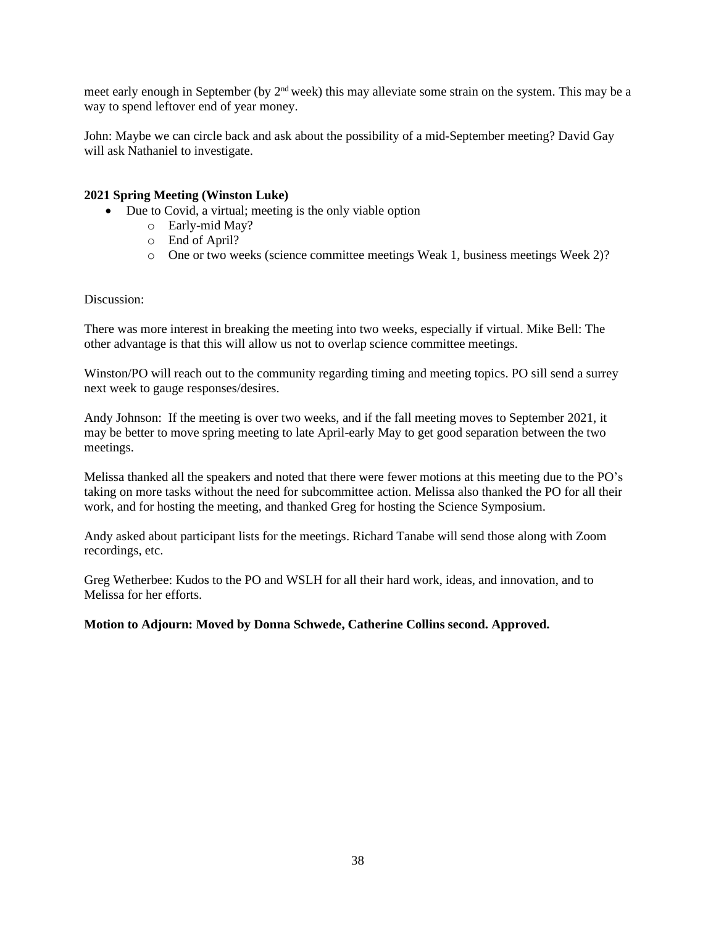meet early enough in September (by 2<sup>nd</sup> week) this may alleviate some strain on the system. This may be a way to spend leftover end of year money.

John: Maybe we can circle back and ask about the possibility of a mid-September meeting? David Gay will ask Nathaniel to investigate.

#### **2021 Spring Meeting (Winston Luke)**

- Due to Covid, a virtual; meeting is the only viable option
	- o Early-mid May?
	- o End of April?
	- o One or two weeks (science committee meetings Weak 1, business meetings Week 2)?

#### Discussion:

There was more interest in breaking the meeting into two weeks, especially if virtual. Mike Bell: The other advantage is that this will allow us not to overlap science committee meetings.

Winston/PO will reach out to the community regarding timing and meeting topics. PO sill send a surrey next week to gauge responses/desires.

Andy Johnson: If the meeting is over two weeks, and if the fall meeting moves to September 2021, it may be better to move spring meeting to late April-early May to get good separation between the two meetings.

Melissa thanked all the speakers and noted that there were fewer motions at this meeting due to the PO's taking on more tasks without the need for subcommittee action. Melissa also thanked the PO for all their work, and for hosting the meeting, and thanked Greg for hosting the Science Symposium.

Andy asked about participant lists for the meetings. Richard Tanabe will send those along with Zoom recordings, etc.

Greg Wetherbee: Kudos to the PO and WSLH for all their hard work, ideas, and innovation, and to Melissa for her efforts.

#### **Motion to Adjourn: Moved by Donna Schwede, Catherine Collins second. Approved.**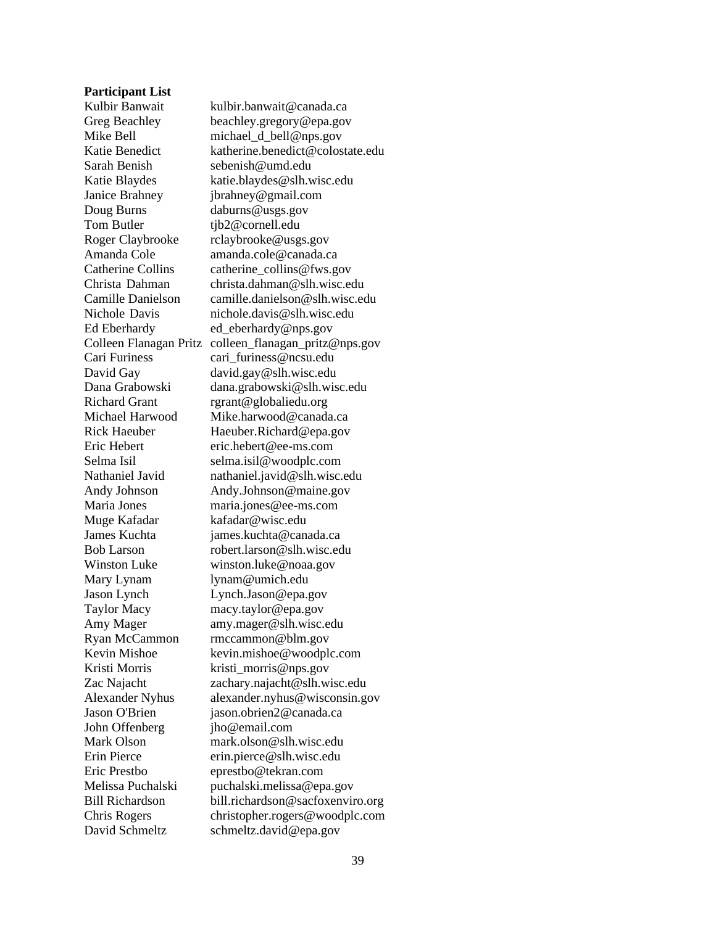#### **Participant List**

Sarah Benish sebenish@umd.edu Doug Burns daburns@usgs.gov Tom Butler tjb2@cornell.edu Muge Kafadar kafadar@wisc.edu Mary Lynam lynam@umich.edu John Offenberg jho@email.com

Kulbir Banwait kulbir.banwait@canada.ca Greg Beachley beachley.gregory@epa.gov Mike Bell michael\_d\_bell@nps.gov Katie Benedict katherine.benedict@colostate.edu Katie Blaydes katie.blaydes@slh.wisc.edu Janice Brahney jbrahney@gmail.com Roger Claybrooke rclaybrooke@usgs.gov Amanda Cole amanda.cole@canada.ca Catherine Collins catherine\_collins@fws.gov Christa Dahman christa.dahman@slh.wisc.edu Camille Danielson camille.danielson@slh.wisc.edu Nichole Davis nichole.davis@slh.wisc.edu Ed Eberhardy ed\_eberhardy@nps.gov Colleen Flanagan Pritz colleen\_flanagan\_pritz@nps.gov Cari Furiness cari furiness@ncsu.edu David Gay david.gay@slh.wisc.edu Dana Grabowski dana.grabowski@slh.wisc.edu Richard Grant rgrant@globaliedu.org Michael Harwood Mike.harwood@canada.ca Rick Haeuber Haeuber.Richard@epa.gov Eric Hebert eric.hebert@ee-ms.com Selma Isil selma.isil@woodplc.com Nathaniel Javid nathaniel.javid@slh.wisc.edu Andy Johnson Andy.Johnson@maine.gov Maria Jones maria.jones@ee-ms.com James Kuchta james.kuchta@canada.ca Bob Larson robert.larson@slh.wisc.edu Winston Luke winston.luke@noaa.gov Jason Lynch Lynch.Jason@epa.gov Taylor Macy macy.taylor@epa.gov Amy Mager amy.mager@slh.wisc.edu Ryan McCammon rmccammon@blm.gov Kevin Mishoe kevin.mishoe@woodplc.com Kristi Morris kristi\_morris@nps.gov Zac Najacht zachary.najacht@slh.wisc.edu Alexander Nyhus alexander.nyhus@wisconsin.gov Jason O'Brien jason.obrien2@canada.ca Mark Olson mark.olson@slh.wisc.edu Erin Pierce erin.pierce@slh.wisc.edu Eric Prestbo eprestbo@tekran.com Melissa Puchalski puchalski.melissa@epa.gov Bill Richardson bill.richardson@sacfoxenviro.org Chris Rogers christopher.rogers@woodplc.com David Schmeltz schmeltz.david@epa.gov